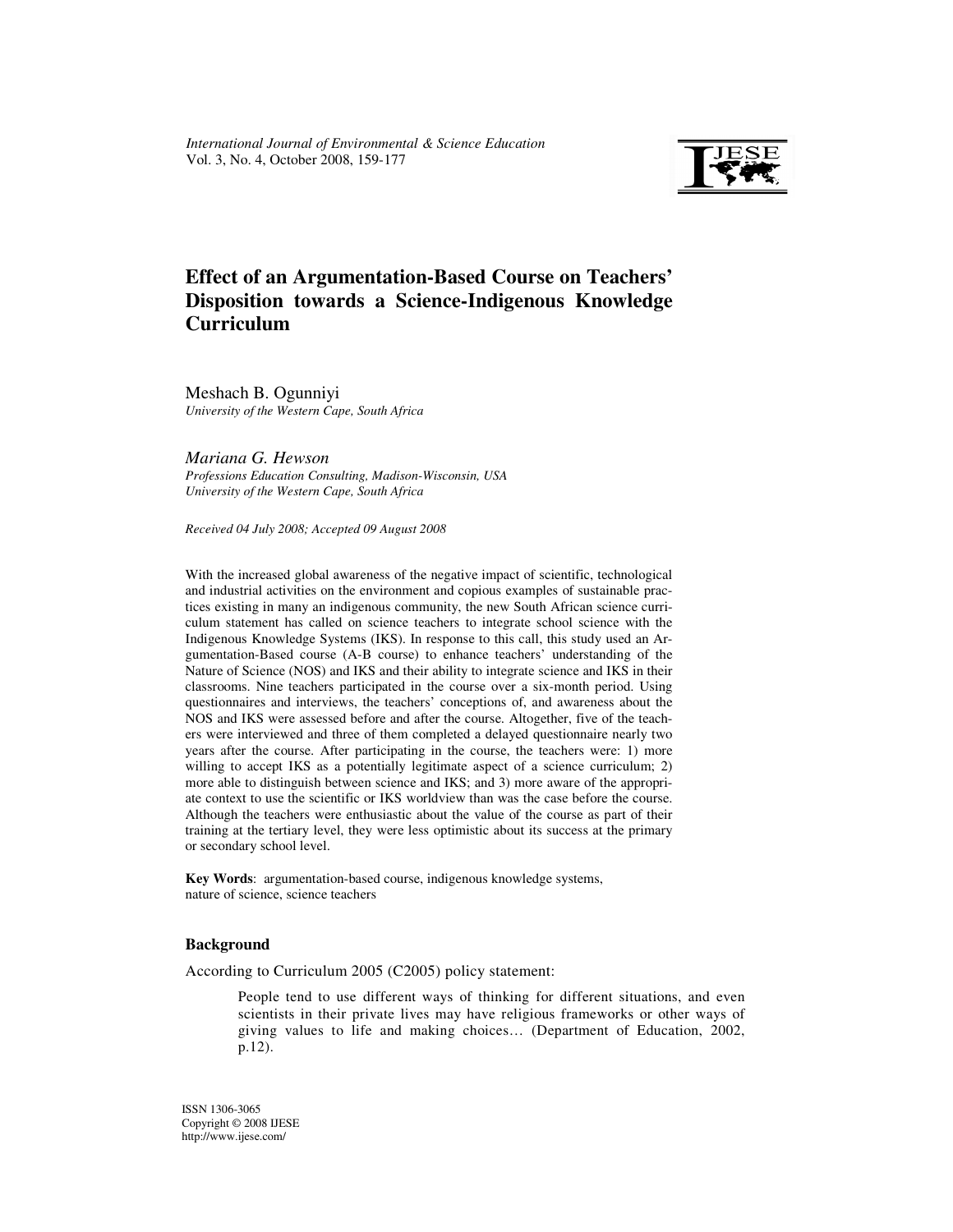

# **Effect of an Argumentation-Based Course on Teachers' Disposition towards a Science-Indigenous Knowledge Curriculum**

Meshach B. Ogunniyi *University of the Western Cape, South Africa* 

*Mariana G. Hewson Professions Education Consulting, Madison-Wisconsin, USA University of the Western Cape, South Africa* 

*Received 04 July 2008; Accepted 09 August 2008* 

With the increased global awareness of the negative impact of scientific, technological and industrial activities on the environment and copious examples of sustainable practices existing in many an indigenous community, the new South African science curriculum statement has called on science teachers to integrate school science with the Indigenous Knowledge Systems (IKS). In response to this call, this study used an Argumentation-Based course (A-B course) to enhance teachers' understanding of the Nature of Science (NOS) and IKS and their ability to integrate science and IKS in their classrooms. Nine teachers participated in the course over a six-month period. Using questionnaires and interviews, the teachers' conceptions of, and awareness about the NOS and IKS were assessed before and after the course. Altogether, five of the teachers were interviewed and three of them completed a delayed questionnaire nearly two years after the course. After participating in the course, the teachers were: 1) more willing to accept IKS as a potentially legitimate aspect of a science curriculum; 2) more able to distinguish between science and IKS; and 3) more aware of the appropriate context to use the scientific or IKS worldview than was the case before the course. Although the teachers were enthusiastic about the value of the course as part of their training at the tertiary level, they were less optimistic about its success at the primary or secondary school level.

**Key Words**: argumentation-based course, indigenous knowledge systems, nature of science, science teachers

#### **Background**

According to Curriculum 2005 (C2005) policy statement:

People tend to use different ways of thinking for different situations, and even scientists in their private lives may have religious frameworks or other ways of giving values to life and making choices… (Department of Education, 2002, p.12).

ISSN 1306-3065 Copyright © 2008 IJESE http://www.ijese.com/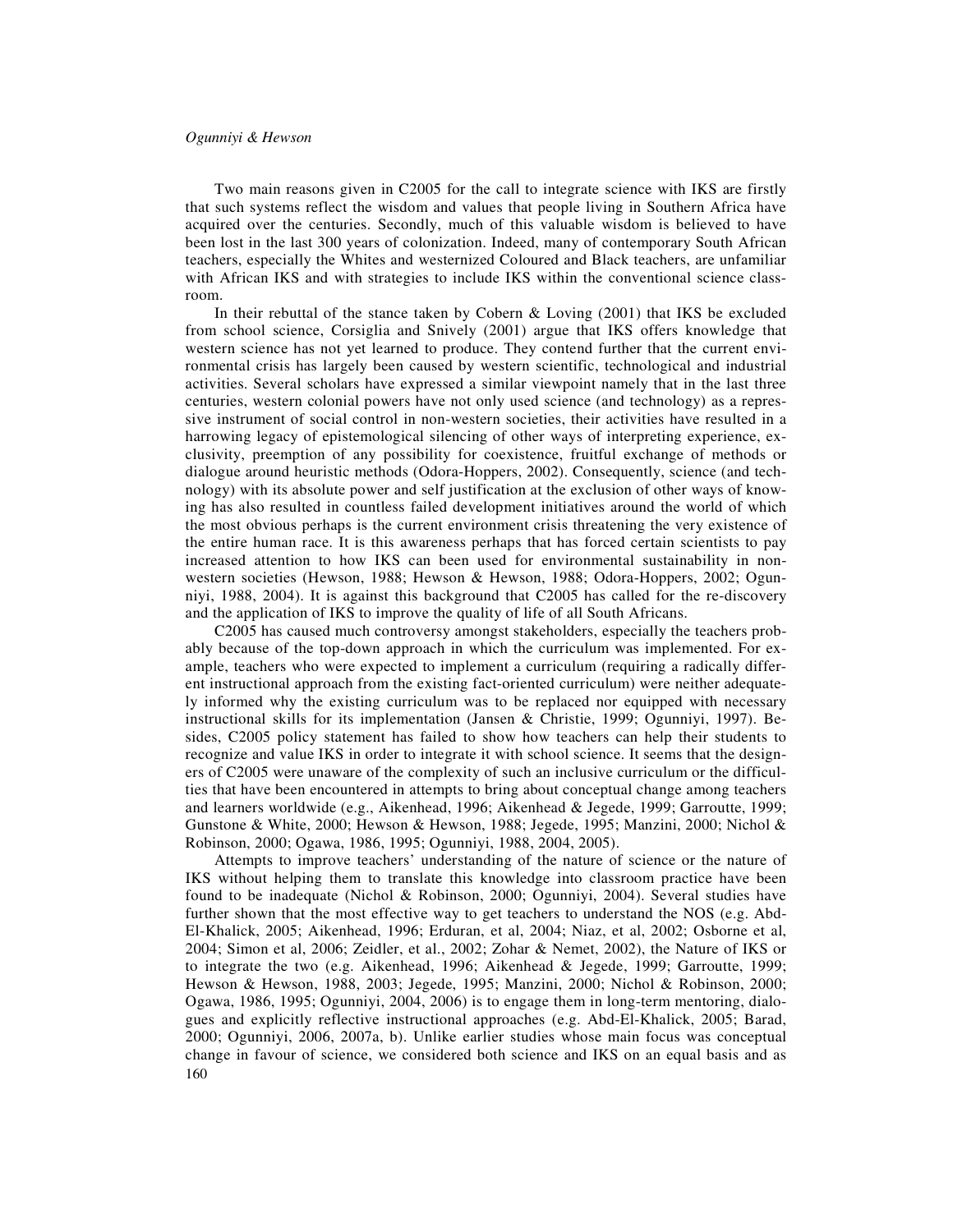Two main reasons given in C2005 for the call to integrate science with IKS are firstly that such systems reflect the wisdom and values that people living in Southern Africa have acquired over the centuries. Secondly, much of this valuable wisdom is believed to have been lost in the last 300 years of colonization. Indeed, many of contemporary South African teachers, especially the Whites and westernized Coloured and Black teachers, are unfamiliar with African IKS and with strategies to include IKS within the conventional science classroom.

In their rebuttal of the stance taken by Cobern & Loving (2001) that IKS be excluded from school science, Corsiglia and Snively (2001) argue that IKS offers knowledge that western science has not yet learned to produce. They contend further that the current environmental crisis has largely been caused by western scientific, technological and industrial activities. Several scholars have expressed a similar viewpoint namely that in the last three centuries, western colonial powers have not only used science (and technology) as a repressive instrument of social control in non-western societies, their activities have resulted in a harrowing legacy of epistemological silencing of other ways of interpreting experience, exclusivity, preemption of any possibility for coexistence, fruitful exchange of methods or dialogue around heuristic methods (Odora-Hoppers, 2002). Consequently, science (and technology) with its absolute power and self justification at the exclusion of other ways of knowing has also resulted in countless failed development initiatives around the world of which the most obvious perhaps is the current environment crisis threatening the very existence of the entire human race. It is this awareness perhaps that has forced certain scientists to pay increased attention to how IKS can been used for environmental sustainability in nonwestern societies (Hewson, 1988; Hewson & Hewson, 1988; Odora-Hoppers, 2002; Ogunniyi, 1988, 2004). It is against this background that C2005 has called for the re-discovery and the application of IKS to improve the quality of life of all South Africans.

C2005 has caused much controversy amongst stakeholders, especially the teachers probably because of the top-down approach in which the curriculum was implemented. For example, teachers who were expected to implement a curriculum (requiring a radically different instructional approach from the existing fact-oriented curriculum) were neither adequately informed why the existing curriculum was to be replaced nor equipped with necessary instructional skills for its implementation (Jansen & Christie, 1999; Ogunniyi, 1997). Besides, C2005 policy statement has failed to show how teachers can help their students to recognize and value IKS in order to integrate it with school science. It seems that the designers of C2005 were unaware of the complexity of such an inclusive curriculum or the difficulties that have been encountered in attempts to bring about conceptual change among teachers and learners worldwide (e.g., Aikenhead, 1996; Aikenhead & Jegede, 1999; Garroutte, 1999; Gunstone & White, 2000; Hewson & Hewson, 1988; Jegede, 1995; Manzini, 2000; Nichol & Robinson, 2000; Ogawa, 1986, 1995; Ogunniyi, 1988, 2004, 2005).

160 Attempts to improve teachers' understanding of the nature of science or the nature of IKS without helping them to translate this knowledge into classroom practice have been found to be inadequate (Nichol & Robinson, 2000; Ogunniyi, 2004). Several studies have further shown that the most effective way to get teachers to understand the NOS (e.g. Abd-El-Khalick, 2005; Aikenhead, 1996; Erduran, et al, 2004; Niaz, et al, 2002; Osborne et al, 2004; Simon et al, 2006; Zeidler, et al., 2002; Zohar & Nemet, 2002), the Nature of IKS or to integrate the two (e.g. Aikenhead, 1996; Aikenhead & Jegede, 1999; Garroutte, 1999; Hewson & Hewson, 1988, 2003; Jegede, 1995; Manzini, 2000; Nichol & Robinson, 2000; Ogawa, 1986, 1995; Ogunniyi, 2004, 2006) is to engage them in long-term mentoring, dialogues and explicitly reflective instructional approaches (e.g. Abd-El-Khalick, 2005; Barad, 2000; Ogunniyi, 2006, 2007a, b). Unlike earlier studies whose main focus was conceptual change in favour of science, we considered both science and IKS on an equal basis and as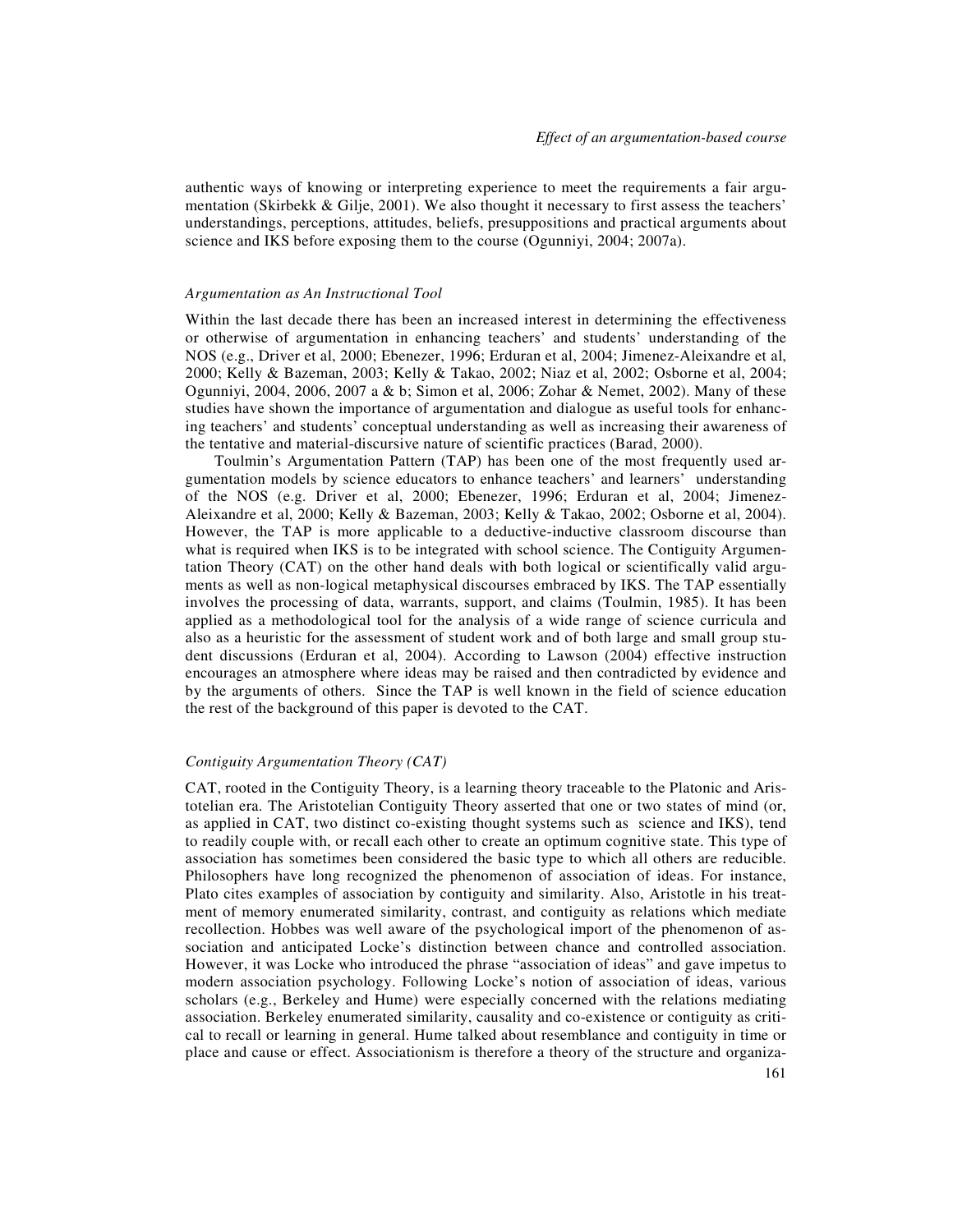authentic ways of knowing or interpreting experience to meet the requirements a fair argumentation (Skirbekk & Gilje, 2001). We also thought it necessary to first assess the teachers' understandings, perceptions, attitudes, beliefs, presuppositions and practical arguments about science and IKS before exposing them to the course (Ogunniyi, 2004; 2007a).

#### *Argumentation as An Instructional Tool*

Within the last decade there has been an increased interest in determining the effectiveness or otherwise of argumentation in enhancing teachers' and students' understanding of the NOS (e.g., Driver et al, 2000; Ebenezer, 1996; Erduran et al, 2004; Jimenez-Aleixandre et al, 2000; Kelly & Bazeman, 2003; Kelly & Takao, 2002; Niaz et al, 2002; Osborne et al, 2004; Ogunniyi, 2004, 2006, 2007 a & b; Simon et al, 2006; Zohar & Nemet, 2002). Many of these studies have shown the importance of argumentation and dialogue as useful tools for enhancing teachers' and students' conceptual understanding as well as increasing their awareness of the tentative and material-discursive nature of scientific practices (Barad, 2000).

Toulmin's Argumentation Pattern (TAP) has been one of the most frequently used argumentation models by science educators to enhance teachers' and learners' understanding of the NOS (e.g. Driver et al, 2000; Ebenezer, 1996; Erduran et al, 2004; Jimenez-Aleixandre et al, 2000; Kelly & Bazeman, 2003; Kelly & Takao, 2002; Osborne et al, 2004). However, the TAP is more applicable to a deductive-inductive classroom discourse than what is required when IKS is to be integrated with school science. The Contiguity Argumentation Theory (CAT) on the other hand deals with both logical or scientifically valid arguments as well as non-logical metaphysical discourses embraced by IKS. The TAP essentially involves the processing of data, warrants, support, and claims (Toulmin, 1985). It has been applied as a methodological tool for the analysis of a wide range of science curricula and also as a heuristic for the assessment of student work and of both large and small group student discussions (Erduran et al, 2004). According to Lawson (2004) effective instruction encourages an atmosphere where ideas may be raised and then contradicted by evidence and by the arguments of others. Since the TAP is well known in the field of science education the rest of the background of this paper is devoted to the CAT.

## *Contiguity Argumentation Theory (CAT)*

CAT, rooted in the Contiguity Theory, is a learning theory traceable to the Platonic and Aristotelian era. The Aristotelian Contiguity Theory asserted that one or two states of mind (or, as applied in CAT, two distinct co-existing thought systems such as science and IKS), tend to readily couple with, or recall each other to create an optimum cognitive state. This type of association has sometimes been considered the basic type to which all others are reducible. Philosophers have long recognized the phenomenon of association of ideas. For instance, Plato cites examples of association by contiguity and similarity. Also, Aristotle in his treatment of memory enumerated similarity, contrast, and contiguity as relations which mediate recollection. Hobbes was well aware of the psychological import of the phenomenon of association and anticipated Locke's distinction between chance and controlled association. However, it was Locke who introduced the phrase "association of ideas" and gave impetus to modern association psychology. Following Locke's notion of association of ideas, various scholars (e.g., Berkeley and Hume) were especially concerned with the relations mediating association. Berkeley enumerated similarity, causality and co-existence or contiguity as critical to recall or learning in general. Hume talked about resemblance and contiguity in time or place and cause or effect. Associationism is therefore a theory of the structure and organiza-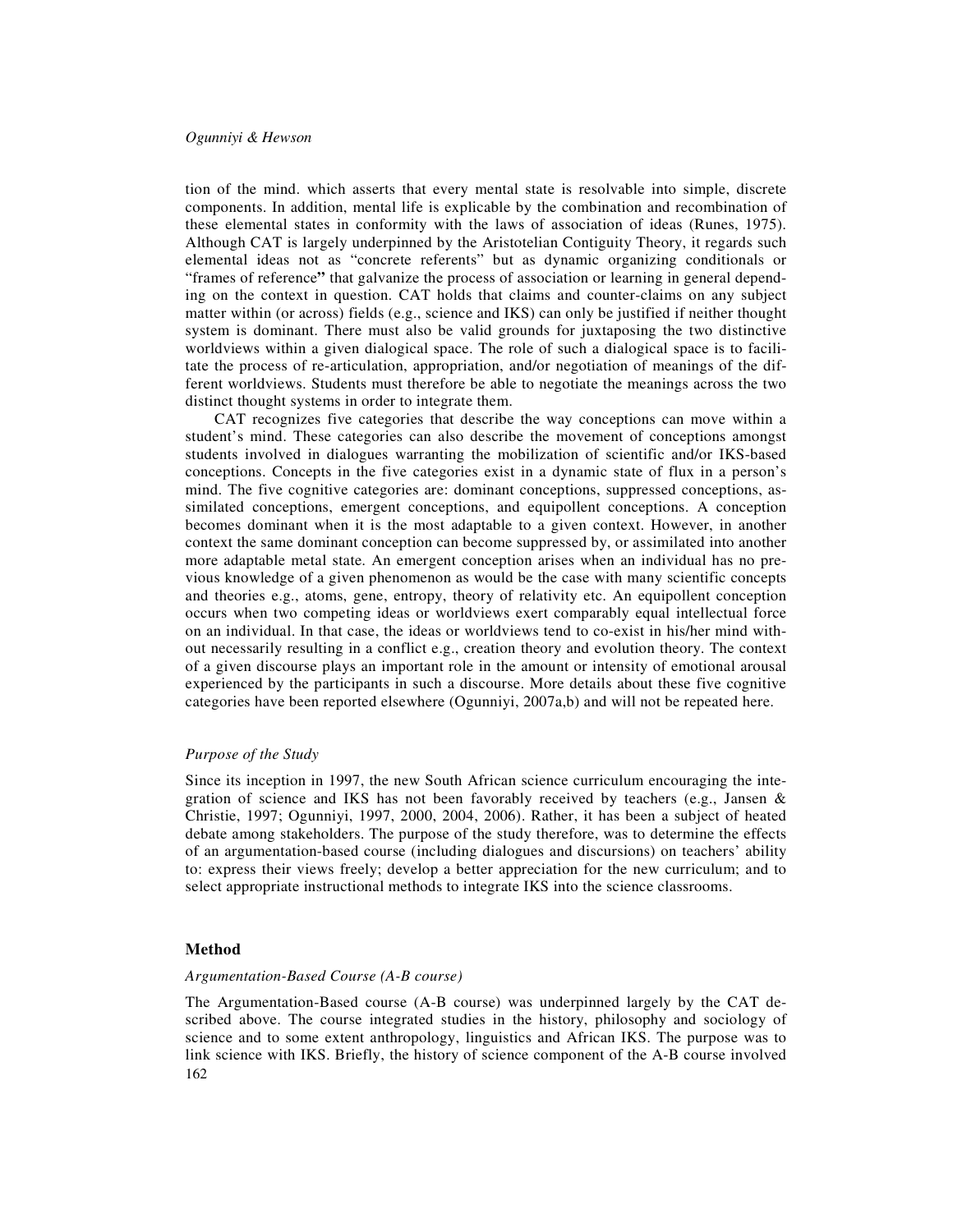tion of the mind. which asserts that every mental state is resolvable into simple, discrete components. In addition, mental life is explicable by the combination and recombination of these elemental states in conformity with the laws of association of ideas (Runes, 1975). Although CAT is largely underpinned by the Aristotelian Contiguity Theory, it regards such elemental ideas not as "concrete referents" but as dynamic organizing conditionals or "frames of reference**"** that galvanize the process of association or learning in general depending on the context in question. CAT holds that claims and counter-claims on any subject matter within (or across) fields (e.g., science and IKS) can only be justified if neither thought system is dominant. There must also be valid grounds for juxtaposing the two distinctive worldviews within a given dialogical space. The role of such a dialogical space is to facilitate the process of re-articulation, appropriation, and/or negotiation of meanings of the different worldviews. Students must therefore be able to negotiate the meanings across the two distinct thought systems in order to integrate them.

CAT recognizes five categories that describe the way conceptions can move within a student's mind. These categories can also describe the movement of conceptions amongst students involved in dialogues warranting the mobilization of scientific and/or IKS-based conceptions. Concepts in the five categories exist in a dynamic state of flux in a person's mind. The five cognitive categories are: dominant conceptions, suppressed conceptions, assimilated conceptions, emergent conceptions, and equipollent conceptions. A conception becomes dominant when it is the most adaptable to a given context. However, in another context the same dominant conception can become suppressed by, or assimilated into another more adaptable metal state. An emergent conception arises when an individual has no previous knowledge of a given phenomenon as would be the case with many scientific concepts and theories e.g., atoms, gene, entropy, theory of relativity etc. An equipollent conception occurs when two competing ideas or worldviews exert comparably equal intellectual force on an individual. In that case, the ideas or worldviews tend to co-exist in his/her mind without necessarily resulting in a conflict e.g., creation theory and evolution theory. The context of a given discourse plays an important role in the amount or intensity of emotional arousal experienced by the participants in such a discourse. More details about these five cognitive categories have been reported elsewhere (Ogunniyi, 2007a,b) and will not be repeated here.

#### *Purpose of the Study*

Since its inception in 1997, the new South African science curriculum encouraging the integration of science and IKS has not been favorably received by teachers (e.g., Jansen & Christie, 1997; Ogunniyi, 1997, 2000, 2004, 2006). Rather, it has been a subject of heated debate among stakeholders. The purpose of the study therefore, was to determine the effects of an argumentation-based course (including dialogues and discursions) on teachers' ability to: express their views freely; develop a better appreciation for the new curriculum; and to select appropriate instructional methods to integrate IKS into the science classrooms.

## **Method**

## *Argumentation-Based Course (A-B course)*

162 The Argumentation-Based course (A-B course) was underpinned largely by the CAT described above. The course integrated studies in the history, philosophy and sociology of science and to some extent anthropology, linguistics and African IKS. The purpose was to link science with IKS. Briefly, the history of science component of the A-B course involved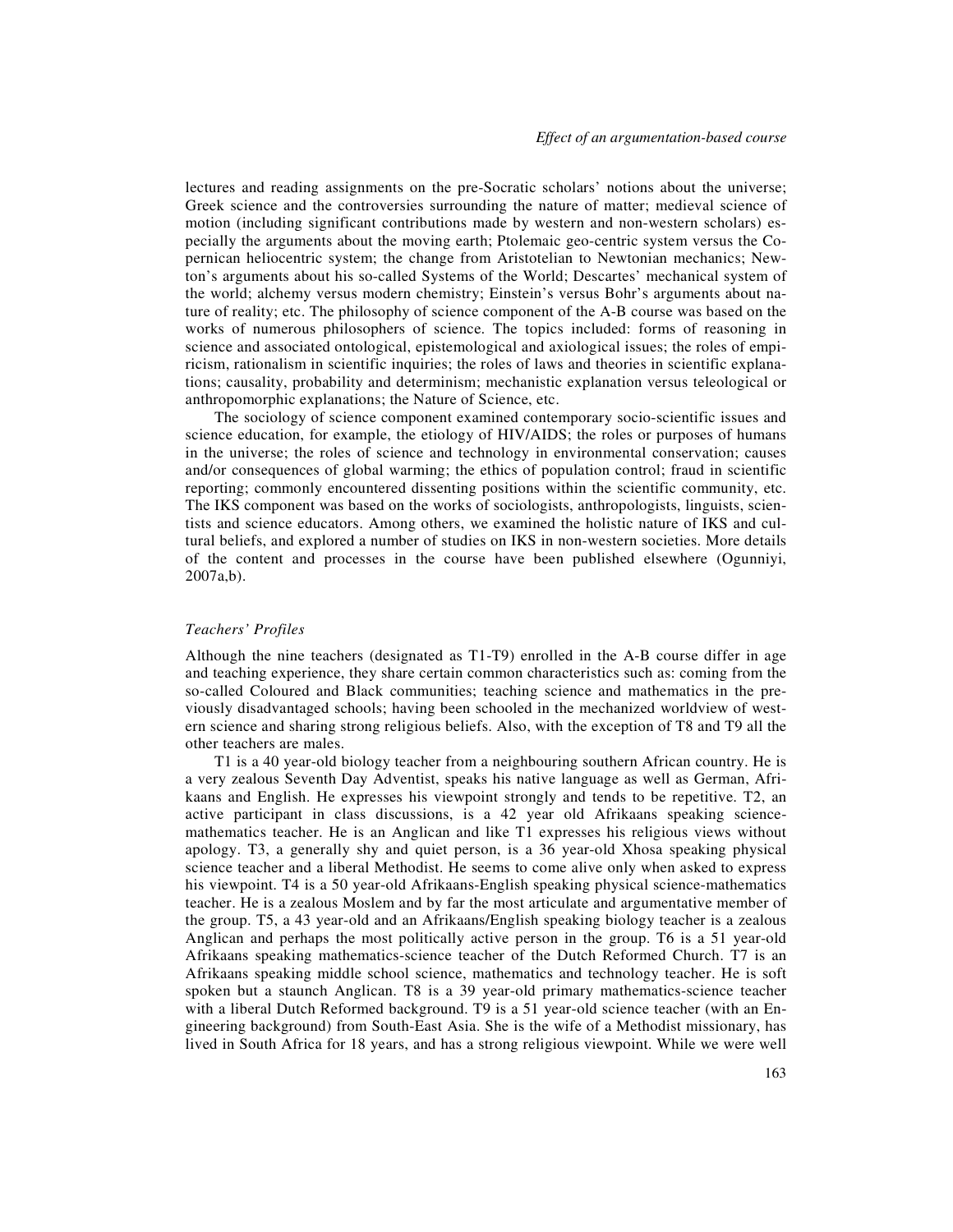lectures and reading assignments on the pre-Socratic scholars' notions about the universe; Greek science and the controversies surrounding the nature of matter; medieval science of motion (including significant contributions made by western and non-western scholars) especially the arguments about the moving earth; Ptolemaic geo-centric system versus the Copernican heliocentric system; the change from Aristotelian to Newtonian mechanics; Newton's arguments about his so-called Systems of the World; Descartes' mechanical system of the world; alchemy versus modern chemistry; Einstein's versus Bohr's arguments about nature of reality; etc. The philosophy of science component of the A-B course was based on the works of numerous philosophers of science. The topics included: forms of reasoning in science and associated ontological, epistemological and axiological issues; the roles of empiricism, rationalism in scientific inquiries; the roles of laws and theories in scientific explanations; causality, probability and determinism; mechanistic explanation versus teleological or anthropomorphic explanations; the Nature of Science, etc.

The sociology of science component examined contemporary socio-scientific issues and science education, for example, the etiology of HIV/AIDS; the roles or purposes of humans in the universe; the roles of science and technology in environmental conservation; causes and/or consequences of global warming; the ethics of population control; fraud in scientific reporting; commonly encountered dissenting positions within the scientific community, etc. The IKS component was based on the works of sociologists, anthropologists, linguists, scientists and science educators. Among others, we examined the holistic nature of IKS and cultural beliefs, and explored a number of studies on IKS in non-western societies. More details of the content and processes in the course have been published elsewhere (Ogunniyi, 2007a,b).

#### *Teachers' Profiles*

Although the nine teachers (designated as T1-T9) enrolled in the A-B course differ in age and teaching experience, they share certain common characteristics such as: coming from the so-called Coloured and Black communities; teaching science and mathematics in the previously disadvantaged schools; having been schooled in the mechanized worldview of western science and sharing strong religious beliefs. Also, with the exception of T8 and T9 all the other teachers are males.

T1 is a 40 year-old biology teacher from a neighbouring southern African country. He is a very zealous Seventh Day Adventist, speaks his native language as well as German, Afrikaans and English. He expresses his viewpoint strongly and tends to be repetitive. T2, an active participant in class discussions, is a 42 year old Afrikaans speaking sciencemathematics teacher. He is an Anglican and like T1 expresses his religious views without apology. T3, a generally shy and quiet person, is a 36 year-old Xhosa speaking physical science teacher and a liberal Methodist. He seems to come alive only when asked to express his viewpoint. T4 is a 50 year-old Afrikaans-English speaking physical science-mathematics teacher. He is a zealous Moslem and by far the most articulate and argumentative member of the group. T5, a 43 year-old and an Afrikaans/English speaking biology teacher is a zealous Anglican and perhaps the most politically active person in the group. T6 is a 51 year-old Afrikaans speaking mathematics-science teacher of the Dutch Reformed Church. T7 is an Afrikaans speaking middle school science, mathematics and technology teacher. He is soft spoken but a staunch Anglican. T8 is a 39 year-old primary mathematics-science teacher with a liberal Dutch Reformed background. T9 is a 51 year-old science teacher (with an Engineering background) from South-East Asia. She is the wife of a Methodist missionary, has lived in South Africa for 18 years, and has a strong religious viewpoint. While we were well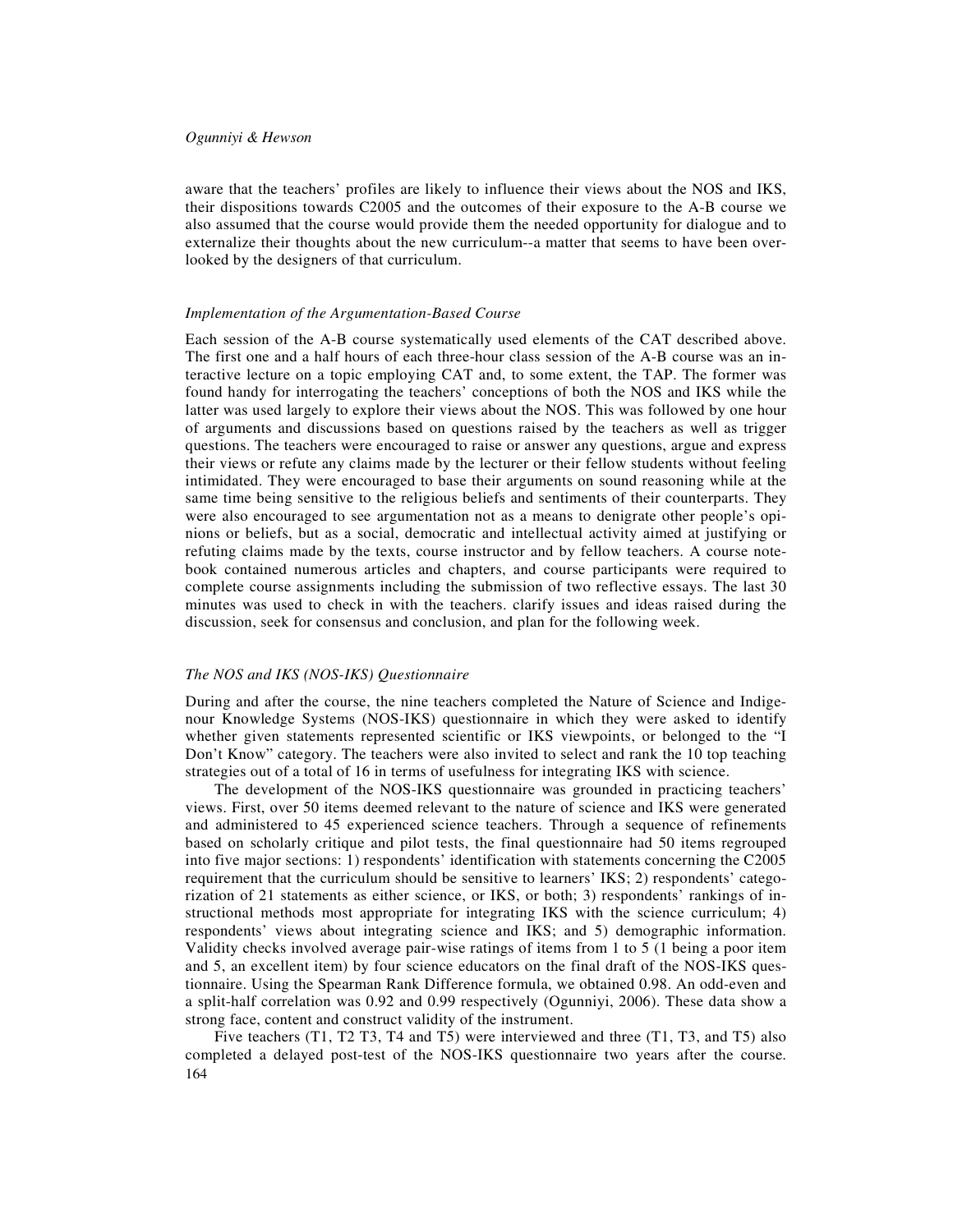aware that the teachers' profiles are likely to influence their views about the NOS and IKS, their dispositions towards C2005 and the outcomes of their exposure to the A-B course we also assumed that the course would provide them the needed opportunity for dialogue and to externalize their thoughts about the new curriculum--a matter that seems to have been overlooked by the designers of that curriculum.

#### *Implementation of the Argumentation-Based Course*

Each session of the A-B course systematically used elements of the CAT described above. The first one and a half hours of each three-hour class session of the A-B course was an interactive lecture on a topic employing CAT and, to some extent, the TAP. The former was found handy for interrogating the teachers' conceptions of both the NOS and IKS while the latter was used largely to explore their views about the NOS. This was followed by one hour of arguments and discussions based on questions raised by the teachers as well as trigger questions. The teachers were encouraged to raise or answer any questions, argue and express their views or refute any claims made by the lecturer or their fellow students without feeling intimidated. They were encouraged to base their arguments on sound reasoning while at the same time being sensitive to the religious beliefs and sentiments of their counterparts. They were also encouraged to see argumentation not as a means to denigrate other people's opinions or beliefs, but as a social, democratic and intellectual activity aimed at justifying or refuting claims made by the texts, course instructor and by fellow teachers. A course notebook contained numerous articles and chapters, and course participants were required to complete course assignments including the submission of two reflective essays. The last 30 minutes was used to check in with the teachers. clarify issues and ideas raised during the discussion, seek for consensus and conclusion, and plan for the following week.

## *The NOS and IKS (NOS-IKS) Questionnaire*

During and after the course, the nine teachers completed the Nature of Science and Indigenour Knowledge Systems (NOS-IKS) questionnaire in which they were asked to identify whether given statements represented scientific or IKS viewpoints, or belonged to the "I Don't Know" category. The teachers were also invited to select and rank the 10 top teaching strategies out of a total of 16 in terms of usefulness for integrating IKS with science.

The development of the NOS-IKS questionnaire was grounded in practicing teachers' views. First, over 50 items deemed relevant to the nature of science and IKS were generated and administered to 45 experienced science teachers. Through a sequence of refinements based on scholarly critique and pilot tests, the final questionnaire had 50 items regrouped into five major sections: 1) respondents' identification with statements concerning the C2005 requirement that the curriculum should be sensitive to learners' IKS; 2) respondents' categorization of 21 statements as either science, or IKS, or both; 3) respondents' rankings of instructional methods most appropriate for integrating IKS with the science curriculum; 4) respondents' views about integrating science and IKS; and 5) demographic information. Validity checks involved average pair-wise ratings of items from 1 to 5 (1 being a poor item and 5, an excellent item) by four science educators on the final draft of the NOS-IKS questionnaire. Using the Spearman Rank Difference formula, we obtained 0.98. An odd-even and a split-half correlation was 0.92 and 0.99 respectively (Ogunniyi, 2006). These data show a strong face, content and construct validity of the instrument.

164 Five teachers (T1, T2 T3, T4 and T5) were interviewed and three (T1, T3, and T5) also completed a delayed post-test of the NOS-IKS questionnaire two years after the course.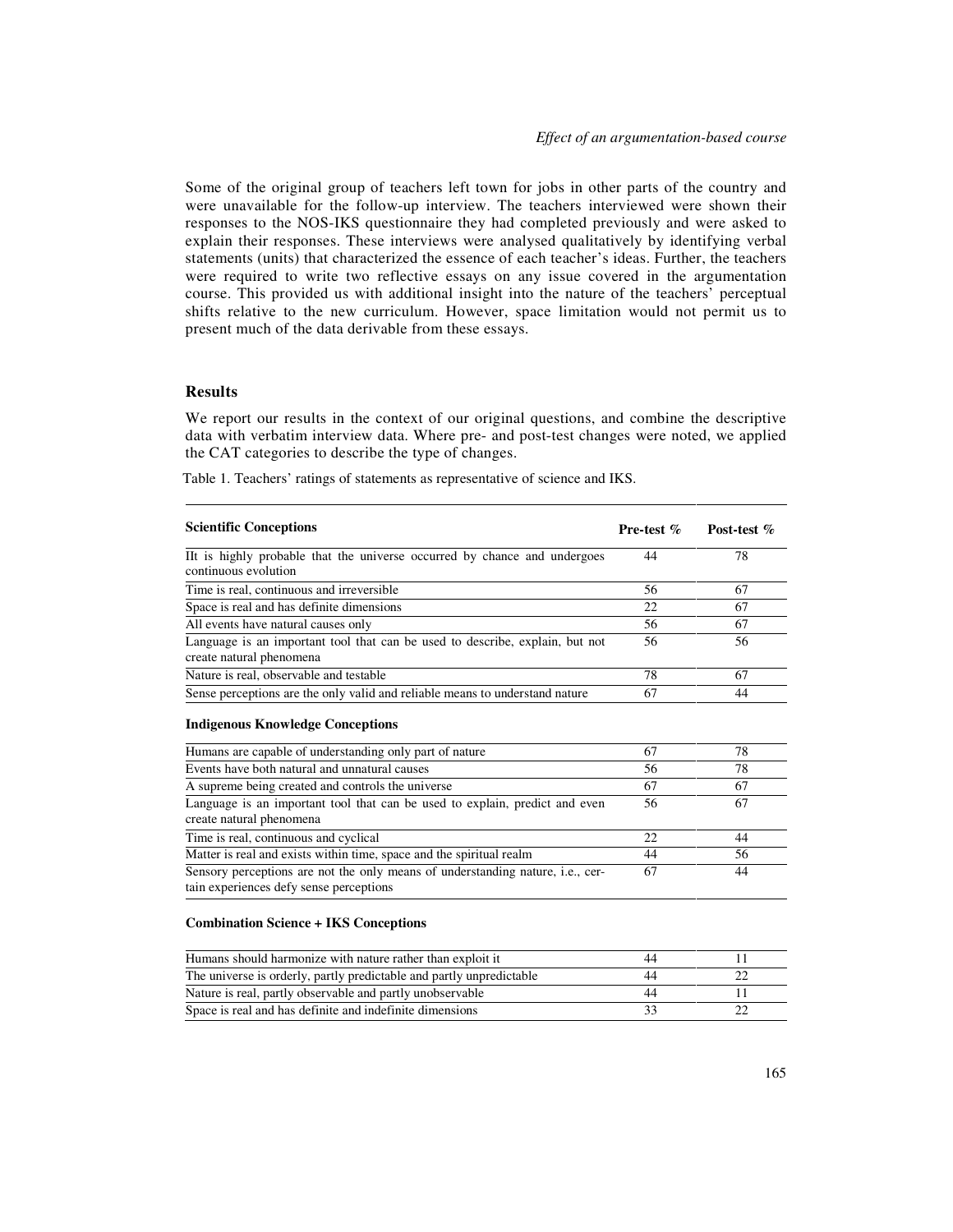Some of the original group of teachers left town for jobs in other parts of the country and were unavailable for the follow-up interview. The teachers interviewed were shown their responses to the NOS-IKS questionnaire they had completed previously and were asked to explain their responses. These interviews were analysed qualitatively by identifying verbal statements (units) that characterized the essence of each teacher's ideas. Further, the teachers were required to write two reflective essays on any issue covered in the argumentation course. This provided us with additional insight into the nature of the teachers' perceptual shifts relative to the new curriculum. However, space limitation would not permit us to present much of the data derivable from these essays.

## **Results**

We report our results in the context of our original questions, and combine the descriptive data with verbatim interview data. Where pre- and post-test changes were noted, we applied the CAT categories to describe the type of changes.

Table 1. Teachers' ratings of statements as representative of science and IKS.

| <b>Scientific Conceptions</b>                                                                                                                                 | <b>Pre-test</b> $\%$ | Post-test % |
|---------------------------------------------------------------------------------------------------------------------------------------------------------------|----------------------|-------------|
| IIt is highly probable that the universe occurred by chance and undergoes<br>continuous evolution                                                             | 44                   | 78          |
| Time is real, continuous and irreversible                                                                                                                     | 56                   | 67          |
| Space is real and has definite dimensions                                                                                                                     | 22                   | 67          |
| All events have natural causes only                                                                                                                           | 56                   | 67          |
| Language is an important tool that can be used to describe, explain, but not<br>create natural phenomena                                                      | 56                   | 56          |
| Nature is real, observable and testable                                                                                                                       | 78                   | 67          |
| Sense perceptions are the only valid and reliable means to understand nature                                                                                  | 67                   | 44          |
| <b>Indigenous Knowledge Conceptions</b>                                                                                                                       |                      |             |
|                                                                                                                                                               | 67                   | 78          |
|                                                                                                                                                               | 56                   | 78          |
| Humans are capable of understanding only part of nature<br>Events have both natural and unnatural causes<br>A supreme being created and controls the universe | 67                   | 67          |
| Language is an important tool that can be used to explain, predict and even<br>create natural phenomena                                                       | 56                   | 67          |
| Time is real, continuous and cyclical                                                                                                                         | 22                   | 44          |
| Matter is real and exists within time, space and the spiritual realm                                                                                          | 44                   | 56          |

#### **Combination Science + IKS Conceptions**

| Humans should harmonize with nature rather than exploit it           |  |
|----------------------------------------------------------------------|--|
| The universe is orderly, partly predictable and partly unpredictable |  |
| Nature is real, partly observable and partly unobservable            |  |
| Space is real and has definite and indefinite dimensions             |  |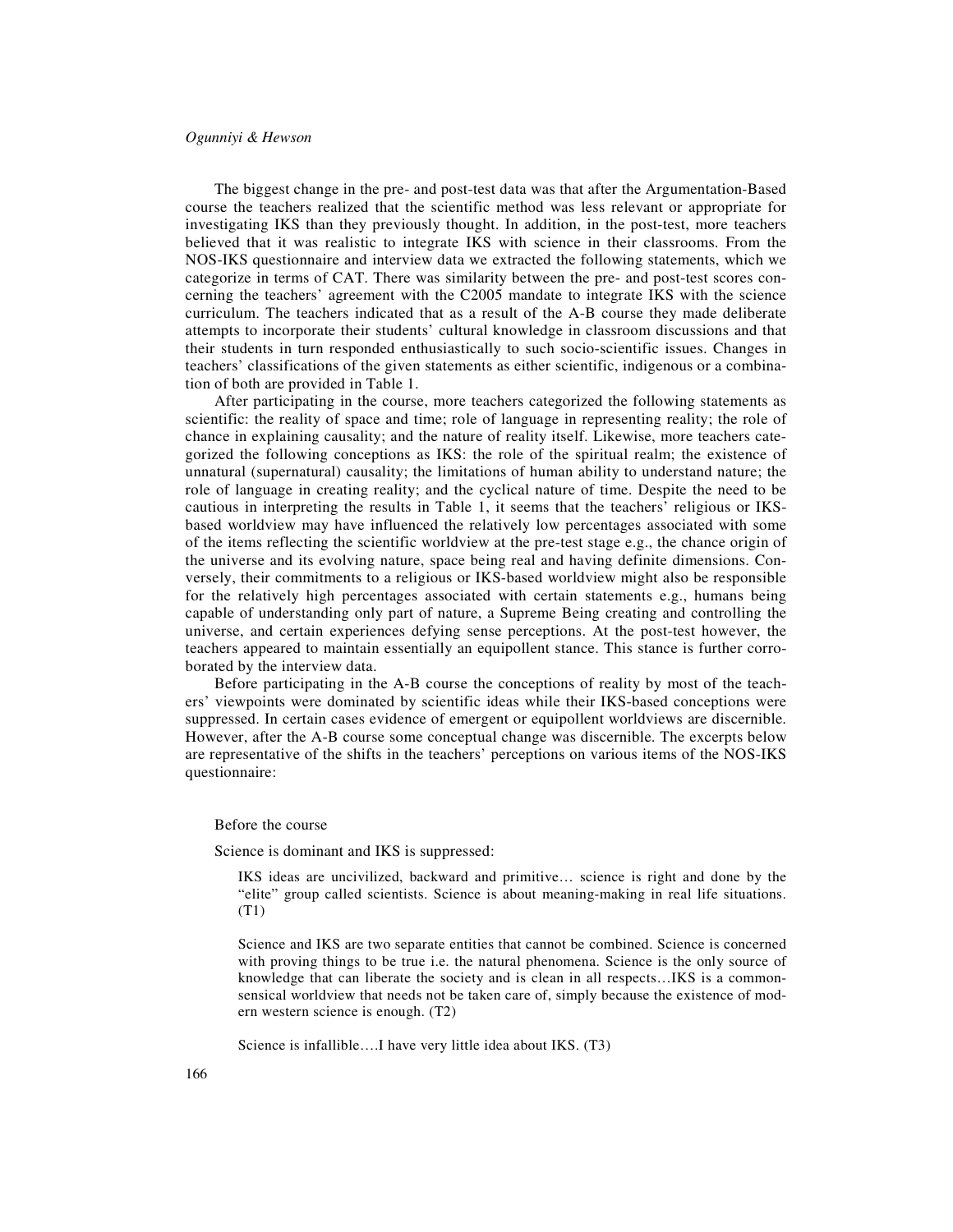The biggest change in the pre- and post-test data was that after the Argumentation-Based course the teachers realized that the scientific method was less relevant or appropriate for investigating IKS than they previously thought. In addition, in the post-test, more teachers believed that it was realistic to integrate IKS with science in their classrooms. From the NOS-IKS questionnaire and interview data we extracted the following statements, which we categorize in terms of CAT. There was similarity between the pre- and post-test scores concerning the teachers' agreement with the C2005 mandate to integrate IKS with the science curriculum. The teachers indicated that as a result of the A-B course they made deliberate attempts to incorporate their students' cultural knowledge in classroom discussions and that their students in turn responded enthusiastically to such socio-scientific issues. Changes in teachers' classifications of the given statements as either scientific, indigenous or a combination of both are provided in Table 1.

After participating in the course, more teachers categorized the following statements as scientific: the reality of space and time; role of language in representing reality; the role of chance in explaining causality; and the nature of reality itself. Likewise, more teachers categorized the following conceptions as IKS: the role of the spiritual realm; the existence of unnatural (supernatural) causality; the limitations of human ability to understand nature; the role of language in creating reality; and the cyclical nature of time. Despite the need to be cautious in interpreting the results in Table 1, it seems that the teachers' religious or IKSbased worldview may have influenced the relatively low percentages associated with some of the items reflecting the scientific worldview at the pre-test stage e.g., the chance origin of the universe and its evolving nature, space being real and having definite dimensions. Conversely, their commitments to a religious or IKS-based worldview might also be responsible for the relatively high percentages associated with certain statements e.g., humans being capable of understanding only part of nature, a Supreme Being creating and controlling the universe, and certain experiences defying sense perceptions. At the post-test however, the teachers appeared to maintain essentially an equipollent stance. This stance is further corroborated by the interview data.

Before participating in the A-B course the conceptions of reality by most of the teachers' viewpoints were dominated by scientific ideas while their IKS-based conceptions were suppressed. In certain cases evidence of emergent or equipollent worldviews are discernible. However, after the A-B course some conceptual change was discernible. The excerpts below are representative of the shifts in the teachers' perceptions on various items of the NOS-IKS questionnaire:

Before the course

Science is dominant and IKS is suppressed:

IKS ideas are uncivilized, backward and primitive… science is right and done by the "elite" group called scientists. Science is about meaning-making in real life situations. (T1)

Science and IKS are two separate entities that cannot be combined. Science is concerned with proving things to be true i.e. the natural phenomena. Science is the only source of knowledge that can liberate the society and is clean in all respects…IKS is a commonsensical worldview that needs not be taken care of, simply because the existence of modern western science is enough. (T2)

Science is infallible….I have very little idea about IKS. (T3)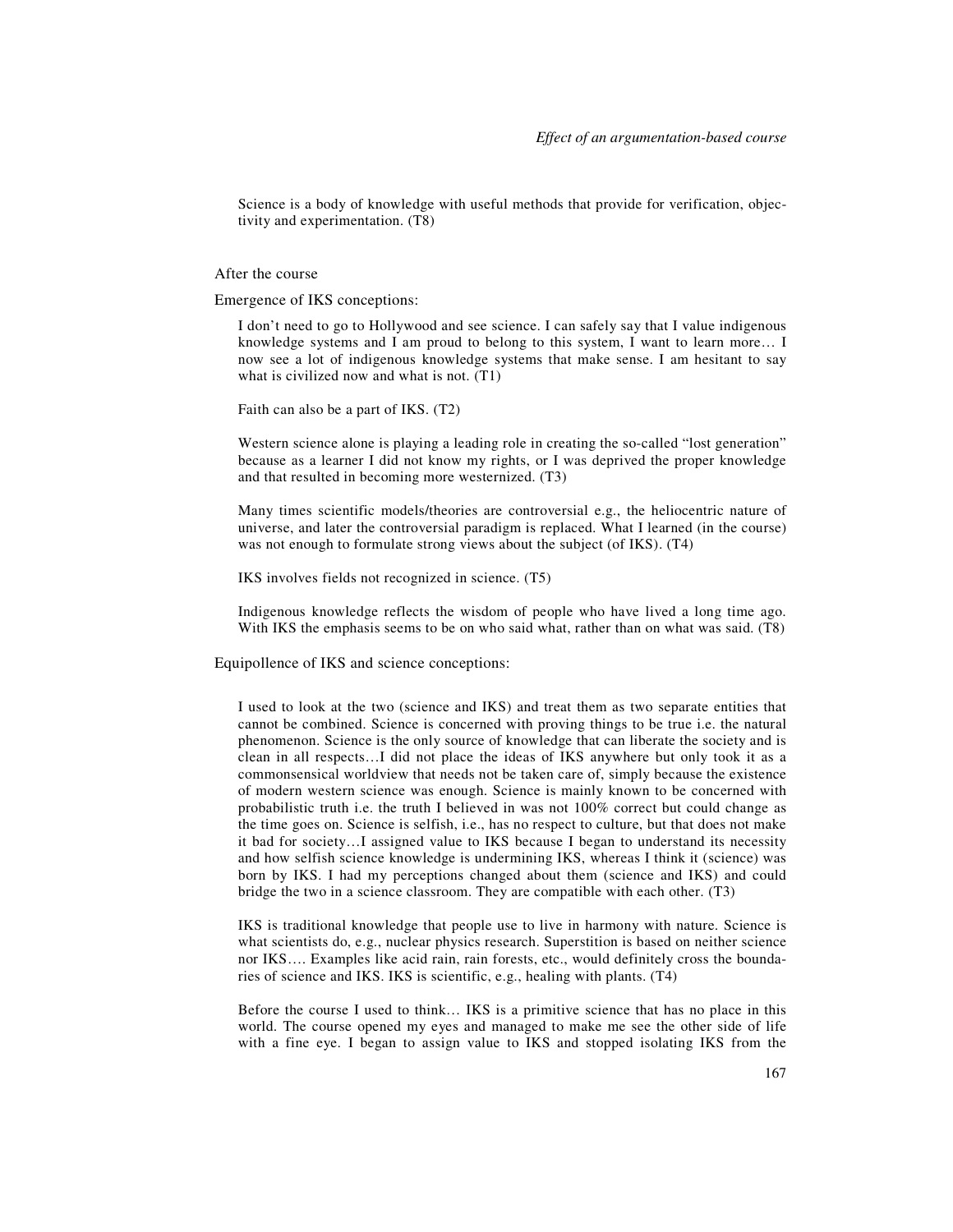Science is a body of knowledge with useful methods that provide for verification, objectivity and experimentation. (T8)

#### After the course

Emergence of IKS conceptions:

I don't need to go to Hollywood and see science. I can safely say that I value indigenous knowledge systems and I am proud to belong to this system, I want to learn more… I now see a lot of indigenous knowledge systems that make sense. I am hesitant to say what is civilized now and what is not.  $(T1)$ 

Faith can also be a part of IKS. (T2)

Western science alone is playing a leading role in creating the so-called "lost generation" because as a learner I did not know my rights, or I was deprived the proper knowledge and that resulted in becoming more westernized. (T3)

Many times scientific models/theories are controversial e.g., the heliocentric nature of universe, and later the controversial paradigm is replaced. What I learned (in the course) was not enough to formulate strong views about the subject (of IKS). (T4)

IKS involves fields not recognized in science. (T5)

Indigenous knowledge reflects the wisdom of people who have lived a long time ago. With IKS the emphasis seems to be on who said what, rather than on what was said. (T8)

Equipollence of IKS and science conceptions:

I used to look at the two (science and IKS) and treat them as two separate entities that cannot be combined. Science is concerned with proving things to be true i.e. the natural phenomenon. Science is the only source of knowledge that can liberate the society and is clean in all respects…I did not place the ideas of IKS anywhere but only took it as a commonsensical worldview that needs not be taken care of, simply because the existence of modern western science was enough. Science is mainly known to be concerned with probabilistic truth i.e. the truth I believed in was not 100% correct but could change as the time goes on. Science is selfish, i.e., has no respect to culture, but that does not make it bad for society…I assigned value to IKS because I began to understand its necessity and how selfish science knowledge is undermining IKS, whereas I think it (science) was born by IKS. I had my perceptions changed about them (science and IKS) and could bridge the two in a science classroom. They are compatible with each other. (T3)

IKS is traditional knowledge that people use to live in harmony with nature. Science is what scientists do, e.g., nuclear physics research. Superstition is based on neither science nor IKS…. Examples like acid rain, rain forests, etc., would definitely cross the boundaries of science and IKS. IKS is scientific, e.g., healing with plants. (T4)

Before the course I used to think… IKS is a primitive science that has no place in this world. The course opened my eyes and managed to make me see the other side of life with a fine eye. I began to assign value to IKS and stopped isolating IKS from the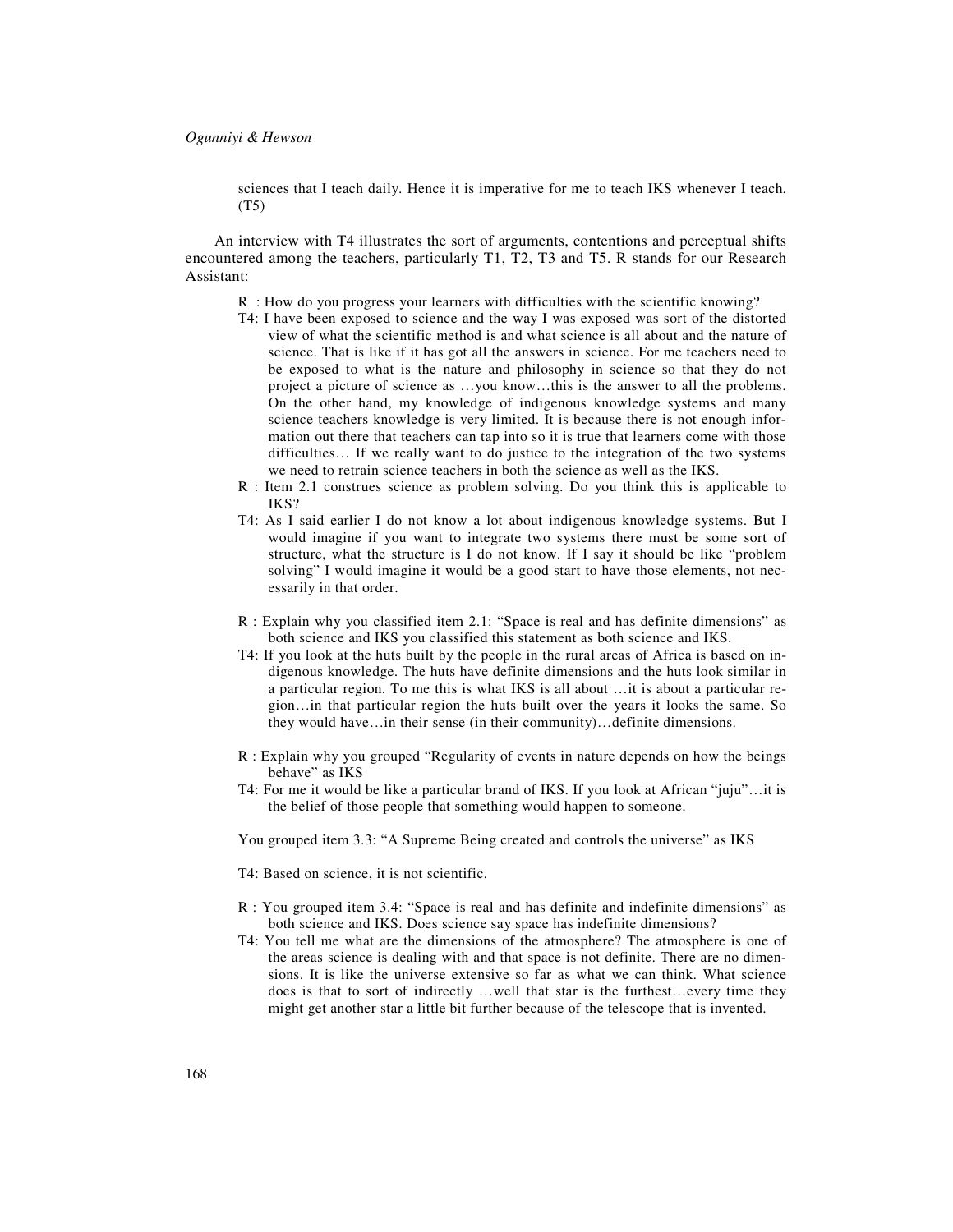sciences that I teach daily. Hence it is imperative for me to teach IKS whenever I teach. (T5)

An interview with T4 illustrates the sort of arguments, contentions and perceptual shifts encountered among the teachers, particularly T1, T2, T3 and T5. R stands for our Research Assistant:

- R : How do you progress your learners with difficulties with the scientific knowing?
- T4: I have been exposed to science and the way I was exposed was sort of the distorted view of what the scientific method is and what science is all about and the nature of science. That is like if it has got all the answers in science. For me teachers need to be exposed to what is the nature and philosophy in science so that they do not project a picture of science as …you know…this is the answer to all the problems. On the other hand, my knowledge of indigenous knowledge systems and many science teachers knowledge is very limited. It is because there is not enough information out there that teachers can tap into so it is true that learners come with those difficulties… If we really want to do justice to the integration of the two systems we need to retrain science teachers in both the science as well as the IKS.
- R : Item 2.1 construes science as problem solving. Do you think this is applicable to IKS?
- T4: As I said earlier I do not know a lot about indigenous knowledge systems. But I would imagine if you want to integrate two systems there must be some sort of structure, what the structure is I do not know. If I say it should be like "problem solving" I would imagine it would be a good start to have those elements, not necessarily in that order.
- R : Explain why you classified item 2.1: "Space is real and has definite dimensions" as both science and IKS you classified this statement as both science and IKS.
- T4: If you look at the huts built by the people in the rural areas of Africa is based on indigenous knowledge. The huts have definite dimensions and the huts look similar in a particular region. To me this is what IKS is all about …it is about a particular region…in that particular region the huts built over the years it looks the same. So they would have…in their sense (in their community)…definite dimensions.
- R : Explain why you grouped "Regularity of events in nature depends on how the beings behave" as IKS
- T4: For me it would be like a particular brand of IKS. If you look at African "juju"…it is the belief of those people that something would happen to someone.
- You grouped item 3.3: "A Supreme Being created and controls the universe" as IKS
- T4: Based on science, it is not scientific.
- R : You grouped item 3.4: "Space is real and has definite and indefinite dimensions" as both science and IKS. Does science say space has indefinite dimensions?
- T4: You tell me what are the dimensions of the atmosphere? The atmosphere is one of the areas science is dealing with and that space is not definite. There are no dimensions. It is like the universe extensive so far as what we can think. What science does is that to sort of indirectly …well that star is the furthest…every time they might get another star a little bit further because of the telescope that is invented.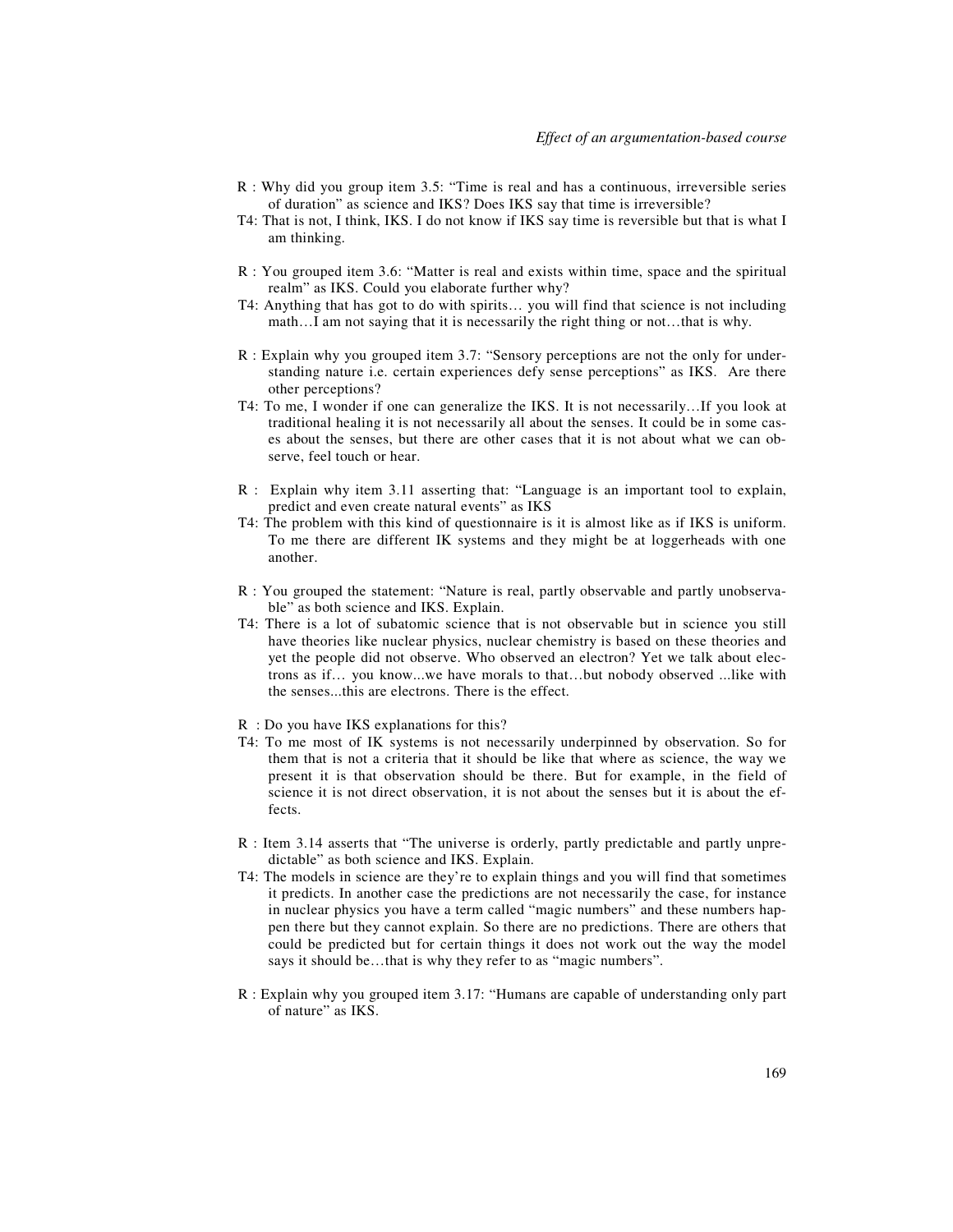- R : Why did you group item 3.5: "Time is real and has a continuous, irreversible series of duration" as science and IKS? Does IKS say that time is irreversible?
- T4: That is not, I think, IKS. I do not know if IKS say time is reversible but that is what I am thinking.
- R : You grouped item 3.6: "Matter is real and exists within time, space and the spiritual realm" as IKS. Could you elaborate further why?
- T4: Anything that has got to do with spirits… you will find that science is not including math…I am not saying that it is necessarily the right thing or not…that is why.
- R : Explain why you grouped item 3.7: "Sensory perceptions are not the only for understanding nature i.e. certain experiences defy sense perceptions" as IKS. Are there other perceptions?
- T4: To me, I wonder if one can generalize the IKS. It is not necessarily…If you look at traditional healing it is not necessarily all about the senses. It could be in some cases about the senses, but there are other cases that it is not about what we can observe, feel touch or hear.
- R : Explain why item 3.11 asserting that: "Language is an important tool to explain, predict and even create natural events" as IKS
- T4: The problem with this kind of questionnaire is it is almost like as if IKS is uniform. To me there are different IK systems and they might be at loggerheads with one another.
- R : You grouped the statement: "Nature is real, partly observable and partly unobservable" as both science and IKS. Explain.
- T4: There is a lot of subatomic science that is not observable but in science you still have theories like nuclear physics, nuclear chemistry is based on these theories and yet the people did not observe. Who observed an electron? Yet we talk about electrons as if… you know...we have morals to that…but nobody observed ...like with the senses...this are electrons. There is the effect.
- R : Do you have IKS explanations for this?
- T4: To me most of IK systems is not necessarily underpinned by observation. So for them that is not a criteria that it should be like that where as science, the way we present it is that observation should be there. But for example, in the field of science it is not direct observation, it is not about the senses but it is about the effects.
- R : Item 3.14 asserts that "The universe is orderly, partly predictable and partly unpredictable" as both science and IKS. Explain.
- T4: The models in science are they're to explain things and you will find that sometimes it predicts. In another case the predictions are not necessarily the case, for instance in nuclear physics you have a term called "magic numbers" and these numbers happen there but they cannot explain. So there are no predictions. There are others that could be predicted but for certain things it does not work out the way the model says it should be…that is why they refer to as "magic numbers".
- R : Explain why you grouped item 3.17: "Humans are capable of understanding only part of nature" as IKS.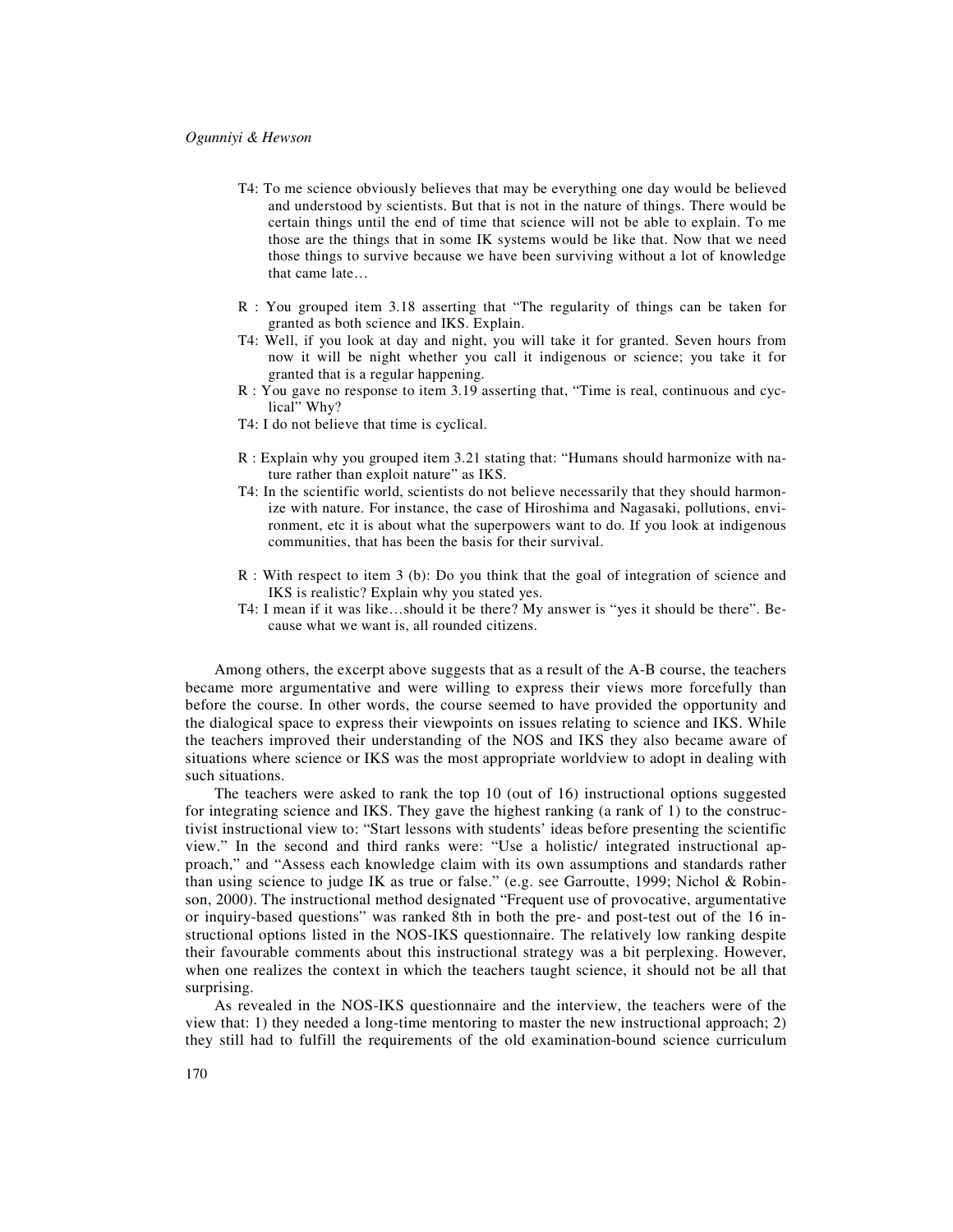- T4: To me science obviously believes that may be everything one day would be believed and understood by scientists. But that is not in the nature of things. There would be certain things until the end of time that science will not be able to explain. To me those are the things that in some IK systems would be like that. Now that we need those things to survive because we have been surviving without a lot of knowledge that came late…
- R : You grouped item 3.18 asserting that "The regularity of things can be taken for granted as both science and IKS. Explain.
- T4: Well, if you look at day and night, you will take it for granted. Seven hours from now it will be night whether you call it indigenous or science; you take it for granted that is a regular happening.
- R : You gave no response to item 3.19 asserting that, "Time is real, continuous and cyclical" Why?
- T4: I do not believe that time is cyclical.
- R : Explain why you grouped item 3.21 stating that: "Humans should harmonize with nature rather than exploit nature" as IKS.
- T4: In the scientific world, scientists do not believe necessarily that they should harmonize with nature. For instance, the case of Hiroshima and Nagasaki, pollutions, environment, etc it is about what the superpowers want to do. If you look at indigenous communities, that has been the basis for their survival.
- R : With respect to item 3 (b): Do you think that the goal of integration of science and IKS is realistic? Explain why you stated yes.
- T4: I mean if it was like…should it be there? My answer is "yes it should be there". Because what we want is, all rounded citizens.

Among others, the excerpt above suggests that as a result of the A-B course, the teachers became more argumentative and were willing to express their views more forcefully than before the course. In other words, the course seemed to have provided the opportunity and the dialogical space to express their viewpoints on issues relating to science and IKS. While the teachers improved their understanding of the NOS and IKS they also became aware of situations where science or IKS was the most appropriate worldview to adopt in dealing with such situations.

The teachers were asked to rank the top 10 (out of 16) instructional options suggested for integrating science and IKS. They gave the highest ranking (a rank of 1) to the constructivist instructional view to: "Start lessons with students' ideas before presenting the scientific view." In the second and third ranks were: "Use a holistic/ integrated instructional approach," and "Assess each knowledge claim with its own assumptions and standards rather than using science to judge IK as true or false." (e.g. see Garroutte, 1999; Nichol & Robinson, 2000). The instructional method designated "Frequent use of provocative, argumentative or inquiry-based questions" was ranked 8th in both the pre- and post-test out of the 16 instructional options listed in the NOS-IKS questionnaire. The relatively low ranking despite their favourable comments about this instructional strategy was a bit perplexing. However, when one realizes the context in which the teachers taught science, it should not be all that surprising.

As revealed in the NOS-IKS questionnaire and the interview, the teachers were of the view that: 1) they needed a long-time mentoring to master the new instructional approach; 2) they still had to fulfill the requirements of the old examination-bound science curriculum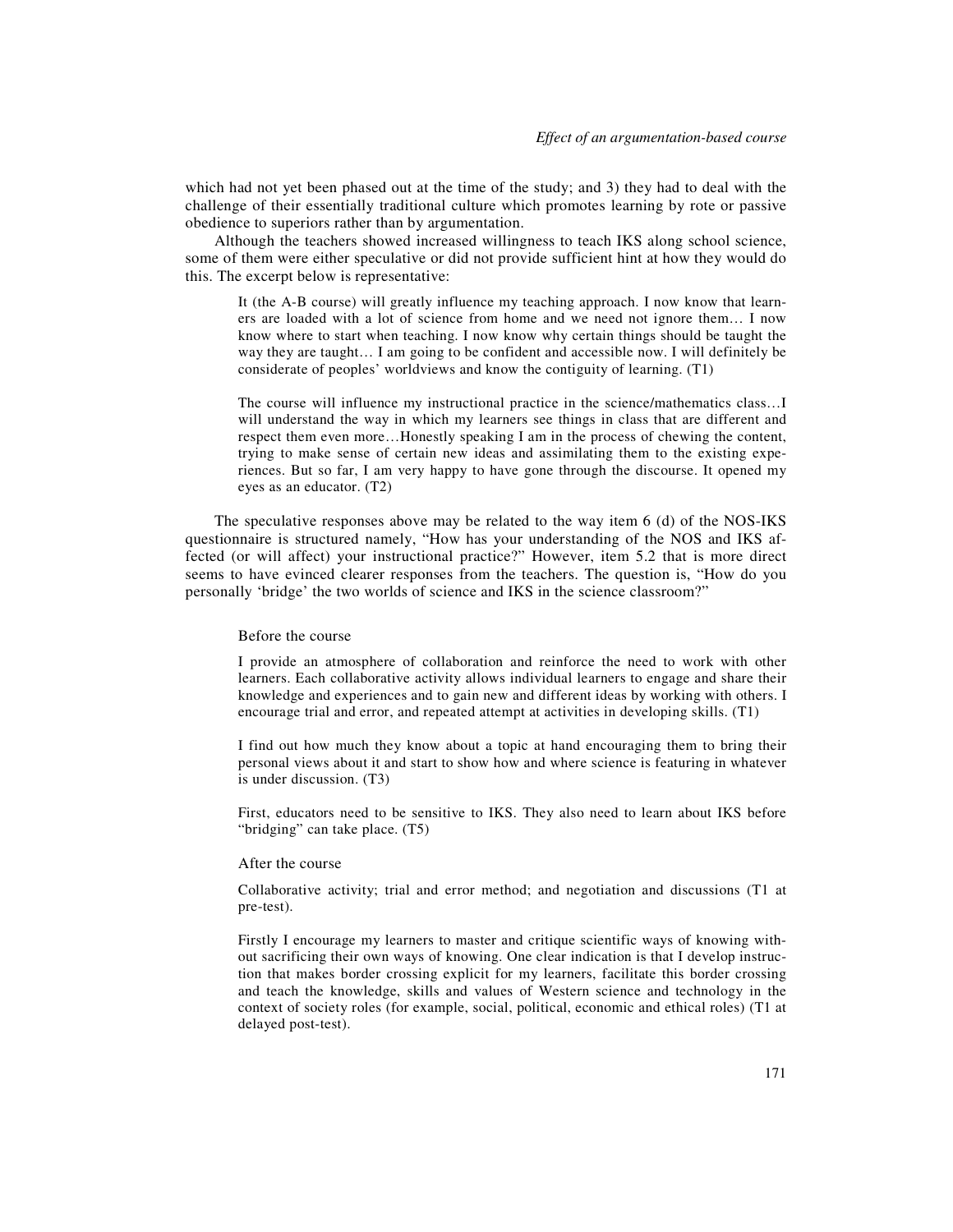which had not yet been phased out at the time of the study; and 3) they had to deal with the challenge of their essentially traditional culture which promotes learning by rote or passive obedience to superiors rather than by argumentation.

Although the teachers showed increased willingness to teach IKS along school science, some of them were either speculative or did not provide sufficient hint at how they would do this. The excerpt below is representative:

It (the A-B course) will greatly influence my teaching approach. I now know that learners are loaded with a lot of science from home and we need not ignore them… I now know where to start when teaching. I now know why certain things should be taught the way they are taught… I am going to be confident and accessible now. I will definitely be considerate of peoples' worldviews and know the contiguity of learning. (T1)

The course will influence my instructional practice in the science/mathematics class…I will understand the way in which my learners see things in class that are different and respect them even more…Honestly speaking I am in the process of chewing the content, trying to make sense of certain new ideas and assimilating them to the existing experiences. But so far, I am very happy to have gone through the discourse. It opened my eyes as an educator. (T2)

The speculative responses above may be related to the way item 6 (d) of the NOS-IKS questionnaire is structured namely, "How has your understanding of the NOS and IKS affected (or will affect) your instructional practice?" However, item 5.2 that is more direct seems to have evinced clearer responses from the teachers. The question is, "How do you personally 'bridge' the two worlds of science and IKS in the science classroom?"

#### Before the course

I provide an atmosphere of collaboration and reinforce the need to work with other learners. Each collaborative activity allows individual learners to engage and share their knowledge and experiences and to gain new and different ideas by working with others. I encourage trial and error, and repeated attempt at activities in developing skills. (T1)

I find out how much they know about a topic at hand encouraging them to bring their personal views about it and start to show how and where science is featuring in whatever is under discussion. (T3)

First, educators need to be sensitive to IKS. They also need to learn about IKS before "bridging" can take place. (T5)

#### After the course

Collaborative activity; trial and error method; and negotiation and discussions (T1 at pre-test).

Firstly I encourage my learners to master and critique scientific ways of knowing without sacrificing their own ways of knowing. One clear indication is that I develop instruction that makes border crossing explicit for my learners, facilitate this border crossing and teach the knowledge, skills and values of Western science and technology in the context of society roles (for example, social, political, economic and ethical roles) (T1 at delayed post-test).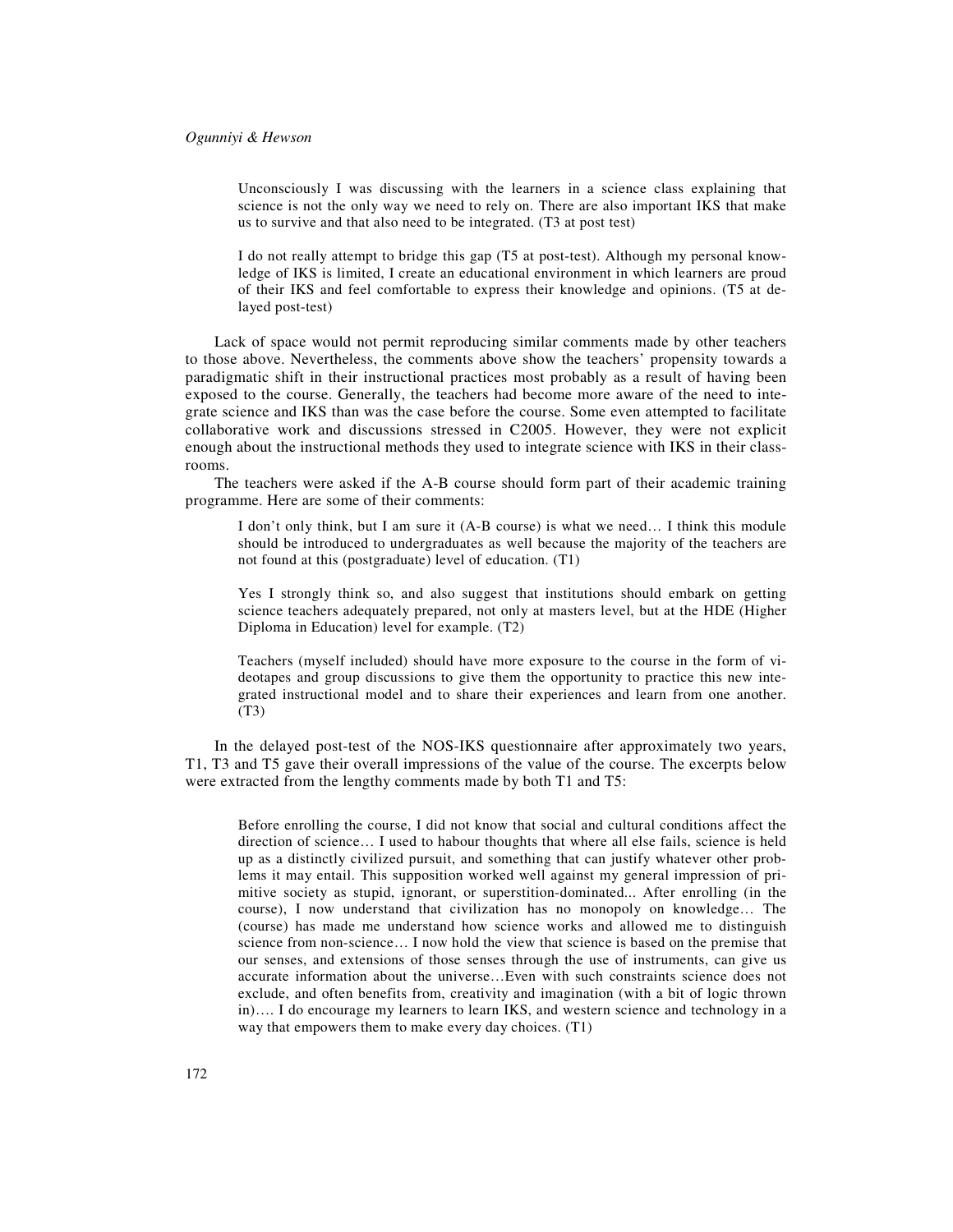Unconsciously I was discussing with the learners in a science class explaining that science is not the only way we need to rely on. There are also important IKS that make us to survive and that also need to be integrated. (T3 at post test)

I do not really attempt to bridge this gap (T5 at post-test). Although my personal knowledge of IKS is limited, I create an educational environment in which learners are proud of their IKS and feel comfortable to express their knowledge and opinions. (T5 at delayed post-test)

Lack of space would not permit reproducing similar comments made by other teachers to those above. Nevertheless, the comments above show the teachers' propensity towards a paradigmatic shift in their instructional practices most probably as a result of having been exposed to the course. Generally, the teachers had become more aware of the need to integrate science and IKS than was the case before the course. Some even attempted to facilitate collaborative work and discussions stressed in C2005. However, they were not explicit enough about the instructional methods they used to integrate science with IKS in their classrooms.

The teachers were asked if the A-B course should form part of their academic training programme. Here are some of their comments:

I don't only think, but I am sure it (A-B course) is what we need… I think this module should be introduced to undergraduates as well because the majority of the teachers are not found at this (postgraduate) level of education. (T1)

Yes I strongly think so, and also suggest that institutions should embark on getting science teachers adequately prepared, not only at masters level, but at the HDE (Higher Diploma in Education) level for example. (T2)

Teachers (myself included) should have more exposure to the course in the form of videotapes and group discussions to give them the opportunity to practice this new integrated instructional model and to share their experiences and learn from one another. (T3)

In the delayed post-test of the NOS-IKS questionnaire after approximately two years, T1, T3 and T5 gave their overall impressions of the value of the course. The excerpts below were extracted from the lengthy comments made by both T1 and T5:

Before enrolling the course, I did not know that social and cultural conditions affect the direction of science… I used to habour thoughts that where all else fails, science is held up as a distinctly civilized pursuit, and something that can justify whatever other problems it may entail. This supposition worked well against my general impression of primitive society as stupid, ignorant, or superstition-dominated... After enrolling (in the course), I now understand that civilization has no monopoly on knowledge… The (course) has made me understand how science works and allowed me to distinguish science from non-science… I now hold the view that science is based on the premise that our senses, and extensions of those senses through the use of instruments, can give us accurate information about the universe…Even with such constraints science does not exclude, and often benefits from, creativity and imagination (with a bit of logic thrown in)…. I do encourage my learners to learn IKS, and western science and technology in a way that empowers them to make every day choices. (T1)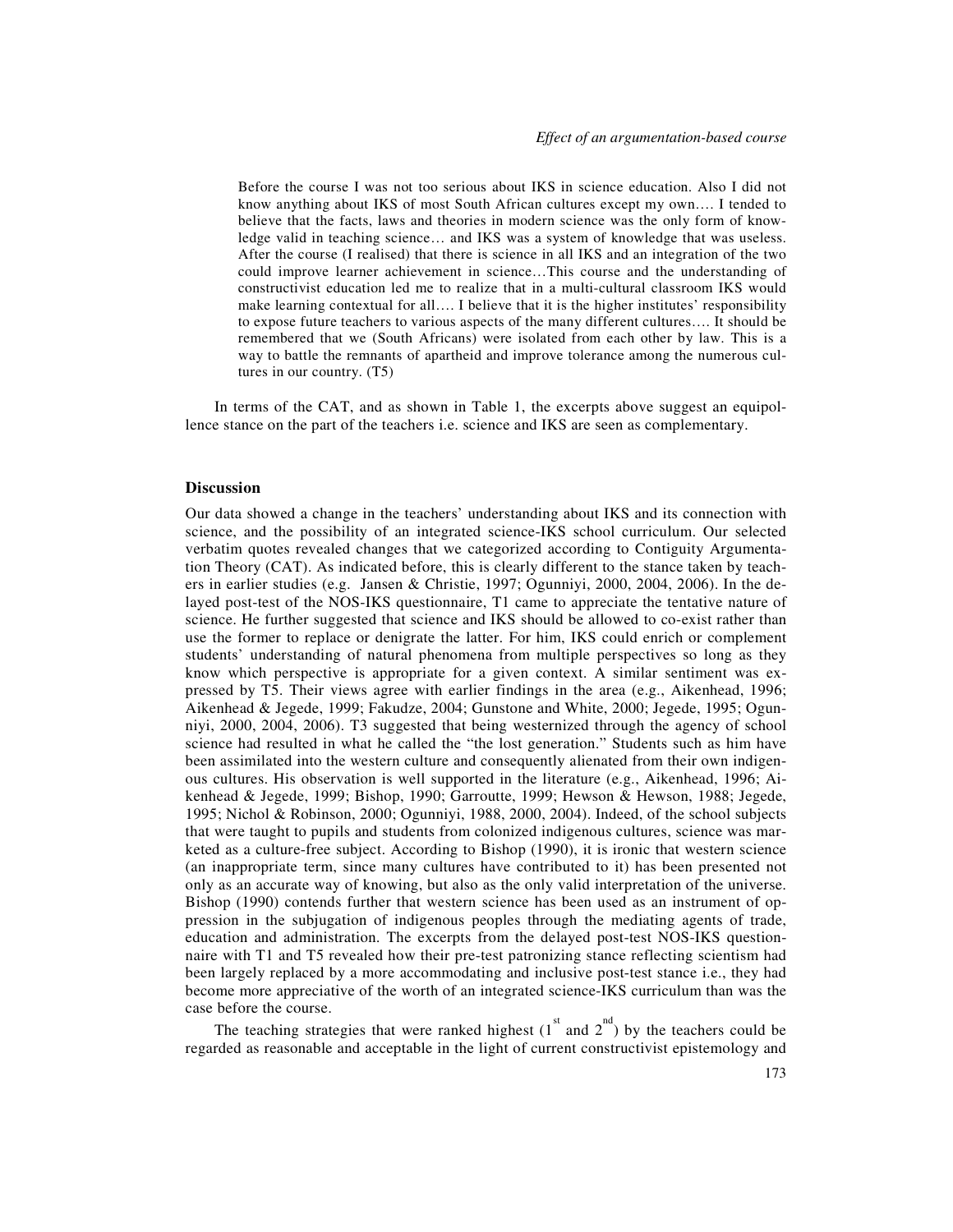Before the course I was not too serious about IKS in science education. Also I did not know anything about IKS of most South African cultures except my own…. I tended to believe that the facts, laws and theories in modern science was the only form of knowledge valid in teaching science… and IKS was a system of knowledge that was useless. After the course (I realised) that there is science in all IKS and an integration of the two could improve learner achievement in science…This course and the understanding of constructivist education led me to realize that in a multi-cultural classroom IKS would make learning contextual for all…. I believe that it is the higher institutes' responsibility to expose future teachers to various aspects of the many different cultures…. It should be remembered that we (South Africans) were isolated from each other by law. This is a way to battle the remnants of apartheid and improve tolerance among the numerous cultures in our country. (T5)

In terms of the CAT, and as shown in Table 1, the excerpts above suggest an equipollence stance on the part of the teachers i.e. science and IKS are seen as complementary.

#### **Discussion**

Our data showed a change in the teachers' understanding about IKS and its connection with science, and the possibility of an integrated science-IKS school curriculum. Our selected verbatim quotes revealed changes that we categorized according to Contiguity Argumentation Theory (CAT). As indicated before, this is clearly different to the stance taken by teachers in earlier studies (e.g. Jansen & Christie, 1997; Ogunniyi, 2000, 2004, 2006). In the delayed post-test of the NOS-IKS questionnaire, T1 came to appreciate the tentative nature of science. He further suggested that science and IKS should be allowed to co-exist rather than use the former to replace or denigrate the latter. For him, IKS could enrich or complement students' understanding of natural phenomena from multiple perspectives so long as they know which perspective is appropriate for a given context. A similar sentiment was expressed by T5. Their views agree with earlier findings in the area (e.g., Aikenhead, 1996; Aikenhead & Jegede, 1999; Fakudze, 2004; Gunstone and White, 2000; Jegede, 1995; Ogunniyi, 2000, 2004, 2006). T3 suggested that being westernized through the agency of school science had resulted in what he called the "the lost generation." Students such as him have been assimilated into the western culture and consequently alienated from their own indigenous cultures. His observation is well supported in the literature (e.g., Aikenhead, 1996; Aikenhead & Jegede, 1999; Bishop, 1990; Garroutte, 1999; Hewson & Hewson, 1988; Jegede, 1995; Nichol & Robinson, 2000; Ogunniyi, 1988, 2000, 2004). Indeed, of the school subjects that were taught to pupils and students from colonized indigenous cultures, science was marketed as a culture-free subject. According to Bishop (1990), it is ironic that western science (an inappropriate term, since many cultures have contributed to it) has been presented not only as an accurate way of knowing, but also as the only valid interpretation of the universe. Bishop (1990) contends further that western science has been used as an instrument of oppression in the subjugation of indigenous peoples through the mediating agents of trade, education and administration. The excerpts from the delayed post-test NOS-IKS questionnaire with T1 and T5 revealed how their pre-test patronizing stance reflecting scientism had been largely replaced by a more accommodating and inclusive post-test stance i.e., they had become more appreciative of the worth of an integrated science-IKS curriculum than was the case before the course.

The teaching strategies that were ranked highest  $(1^{\text{st}}$  and  $2^{\text{nd}})$  by the teachers could be regarded as reasonable and acceptable in the light of current constructivist epistemology and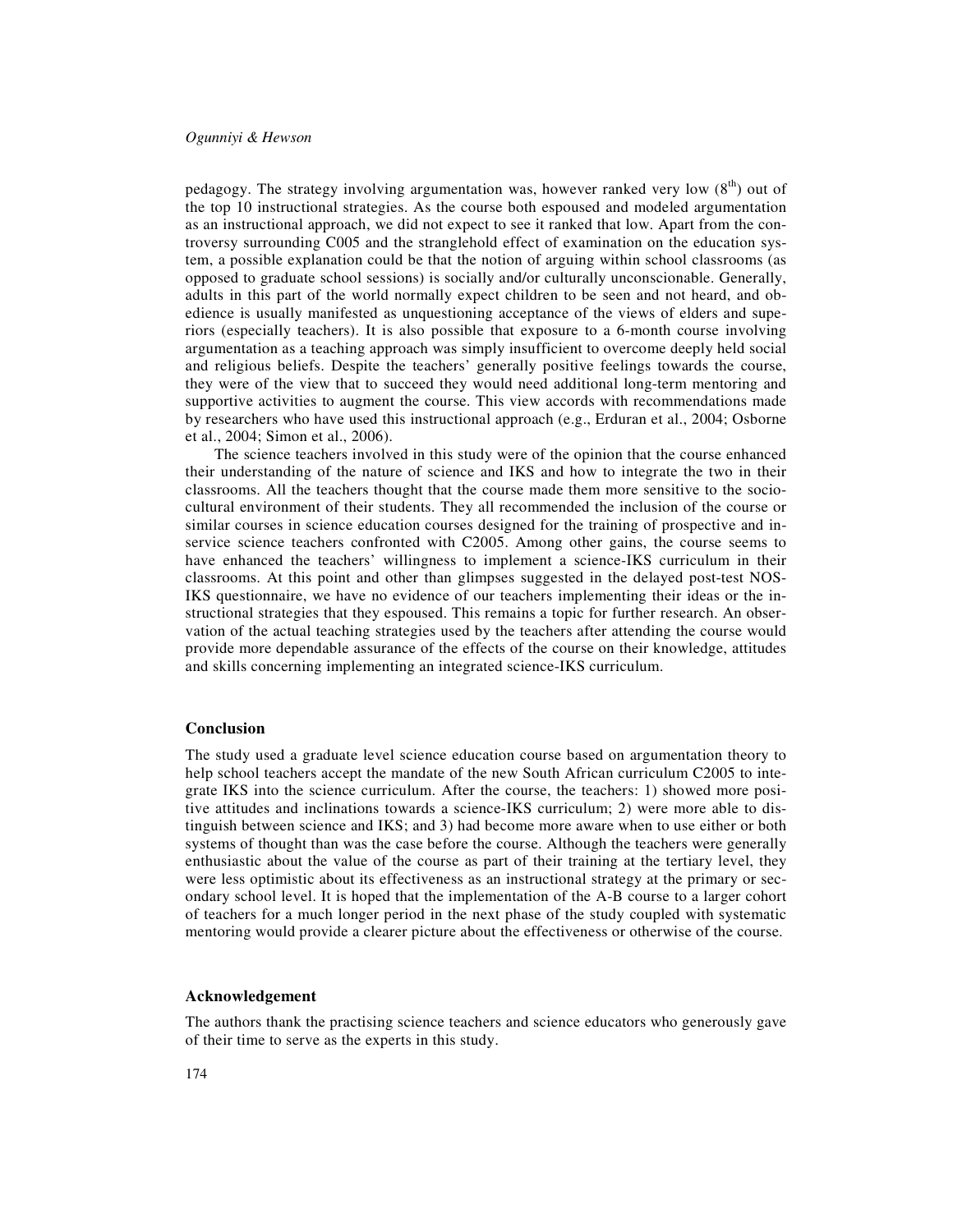pedagogy. The strategy involving argumentation was, however ranked very low  $(8<sup>th</sup>)$  out of the top 10 instructional strategies. As the course both espoused and modeled argumentation as an instructional approach, we did not expect to see it ranked that low. Apart from the controversy surrounding C005 and the stranglehold effect of examination on the education system, a possible explanation could be that the notion of arguing within school classrooms (as opposed to graduate school sessions) is socially and/or culturally unconscionable. Generally, adults in this part of the world normally expect children to be seen and not heard, and obedience is usually manifested as unquestioning acceptance of the views of elders and superiors (especially teachers). It is also possible that exposure to a 6-month course involving argumentation as a teaching approach was simply insufficient to overcome deeply held social and religious beliefs. Despite the teachers' generally positive feelings towards the course, they were of the view that to succeed they would need additional long-term mentoring and supportive activities to augment the course. This view accords with recommendations made by researchers who have used this instructional approach (e.g., Erduran et al., 2004; Osborne et al., 2004; Simon et al., 2006).

The science teachers involved in this study were of the opinion that the course enhanced their understanding of the nature of science and IKS and how to integrate the two in their classrooms. All the teachers thought that the course made them more sensitive to the sociocultural environment of their students. They all recommended the inclusion of the course or similar courses in science education courses designed for the training of prospective and inservice science teachers confronted with C2005. Among other gains, the course seems to have enhanced the teachers' willingness to implement a science-IKS curriculum in their classrooms. At this point and other than glimpses suggested in the delayed post-test NOS-IKS questionnaire, we have no evidence of our teachers implementing their ideas or the instructional strategies that they espoused. This remains a topic for further research. An observation of the actual teaching strategies used by the teachers after attending the course would provide more dependable assurance of the effects of the course on their knowledge, attitudes and skills concerning implementing an integrated science-IKS curriculum.

## **Conclusion**

The study used a graduate level science education course based on argumentation theory to help school teachers accept the mandate of the new South African curriculum C2005 to integrate IKS into the science curriculum. After the course, the teachers: 1) showed more positive attitudes and inclinations towards a science-IKS curriculum; 2) were more able to distinguish between science and IKS; and 3) had become more aware when to use either or both systems of thought than was the case before the course. Although the teachers were generally enthusiastic about the value of the course as part of their training at the tertiary level, they were less optimistic about its effectiveness as an instructional strategy at the primary or secondary school level. It is hoped that the implementation of the A-B course to a larger cohort of teachers for a much longer period in the next phase of the study coupled with systematic mentoring would provide a clearer picture about the effectiveness or otherwise of the course.

#### **Acknowledgement**

The authors thank the practising science teachers and science educators who generously gave of their time to serve as the experts in this study.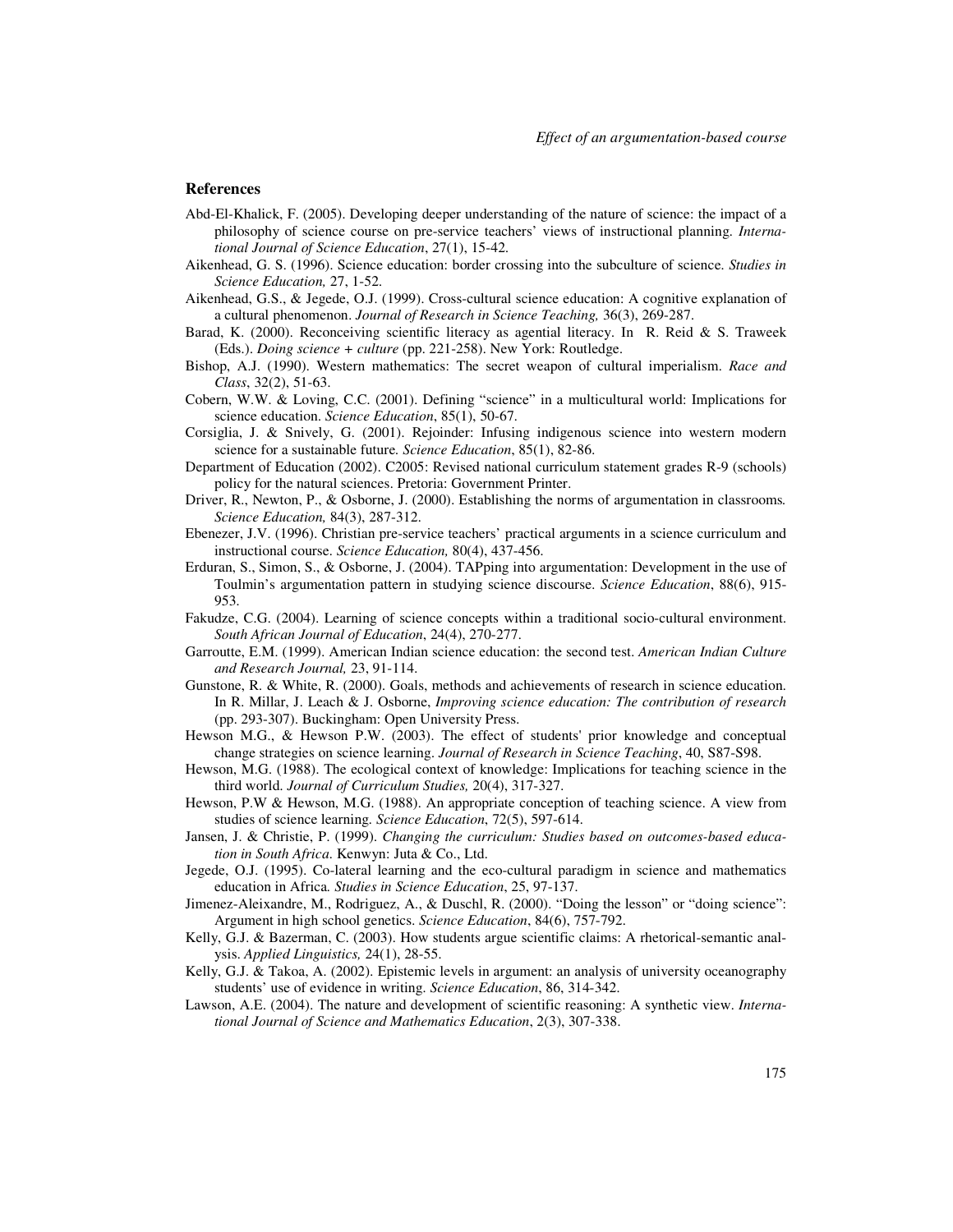## **References**

- Abd-El-Khalick, F. (2005). Developing deeper understanding of the nature of science: the impact of a philosophy of science course on pre-service teachers' views of instructional planning. *International Journal of Science Education*, 27(1), 15-42.
- Aikenhead, G. S. (1996). Science education: border crossing into the subculture of science. *Studies in Science Education,* 27, 1-52.
- Aikenhead, G.S., & Jegede, O.J. (1999). Cross-cultural science education: A cognitive explanation of a cultural phenomenon. *Journal of Research in Science Teaching,* 36(3), 269-287.
- Barad, K. (2000). Reconceiving scientific literacy as agential literacy. In R. Reid & S. Traweek (Eds.). *Doing science + culture* (pp. 221-258). New York: Routledge.
- Bishop, A.J. (1990). Western mathematics: The secret weapon of cultural imperialism. *Race and Class*, 32(2), 51-63.
- Cobern, W.W. & Loving, C.C. (2001). Defining "science" in a multicultural world: Implications for science education. *Science Education*, 85(1), 50-67.
- Corsiglia, J. & Snively, G. (2001). Rejoinder: Infusing indigenous science into western modern science for a sustainable future*. Science Education*, 85(1), 82-86.
- Department of Education (2002). C2005: Revised national curriculum statement grades R-9 (schools) policy for the natural sciences. Pretoria: Government Printer.
- Driver, R., Newton, P., & Osborne, J. (2000). Establishing the norms of argumentation in classrooms*. Science Education,* 84(3), 287-312.
- Ebenezer, J.V. (1996). Christian pre-service teachers' practical arguments in a science curriculum and instructional course. *Science Education,* 80(4), 437-456.
- Erduran, S., Simon, S., & Osborne, J. (2004). TAPping into argumentation: Development in the use of Toulmin's argumentation pattern in studying science discourse. *Science Education*, 88(6), 915- 953.
- Fakudze, C.G. (2004). Learning of science concepts within a traditional socio-cultural environment. *South African Journal of Education*, 24(4), 270-277.
- Garroutte, E.M. (1999). American Indian science education: the second test. *American Indian Culture and Research Journal,* 23, 91-114.
- Gunstone, R. & White, R. (2000). Goals, methods and achievements of research in science education. In R. Millar, J. Leach & J. Osborne, *Improving science education: The contribution of research*  (pp. 293-307). Buckingham: Open University Press.
- Hewson M.G., & Hewson P.W. (2003). The effect of students' prior knowledge and conceptual change strategies on science learning. *Journal of Research in Science Teaching*, 40, S87-S98.
- Hewson, M.G. (1988). The ecological context of knowledge: Implications for teaching science in the third world. *Journal of Curriculum Studies,* 20(4), 317-327.
- Hewson, P.W & Hewson, M.G. (1988). An appropriate conception of teaching science. A view from studies of science learning*. Science Education*, 72(5), 597-614.
- Jansen, J. & Christie, P. (1999). *Changing the curriculum: Studies based on outcomes-based education in South Africa*. Kenwyn: Juta & Co., Ltd.
- Jegede, O.J. (1995). Co-lateral learning and the eco-cultural paradigm in science and mathematics education in Africa*. Studies in Science Education*, 25, 97-137.
- Jimenez-Aleixandre, M., Rodriguez, A., & Duschl, R. (2000). "Doing the lesson" or "doing science": Argument in high school genetics. *Science Education*, 84(6), 757-792.
- Kelly, G.J. & Bazerman, C. (2003). How students argue scientific claims: A rhetorical-semantic analysis. *Applied Linguistics,* 24(1), 28-55.
- Kelly, G.J. & Takoa, A. (2002). Epistemic levels in argument: an analysis of university oceanography students' use of evidence in writing. *Science Education*, 86, 314-342.
- Lawson, A.E. (2004). The nature and development of scientific reasoning: A synthetic view. *International Journal of Science and Mathematics Education*, 2(3), 307-338.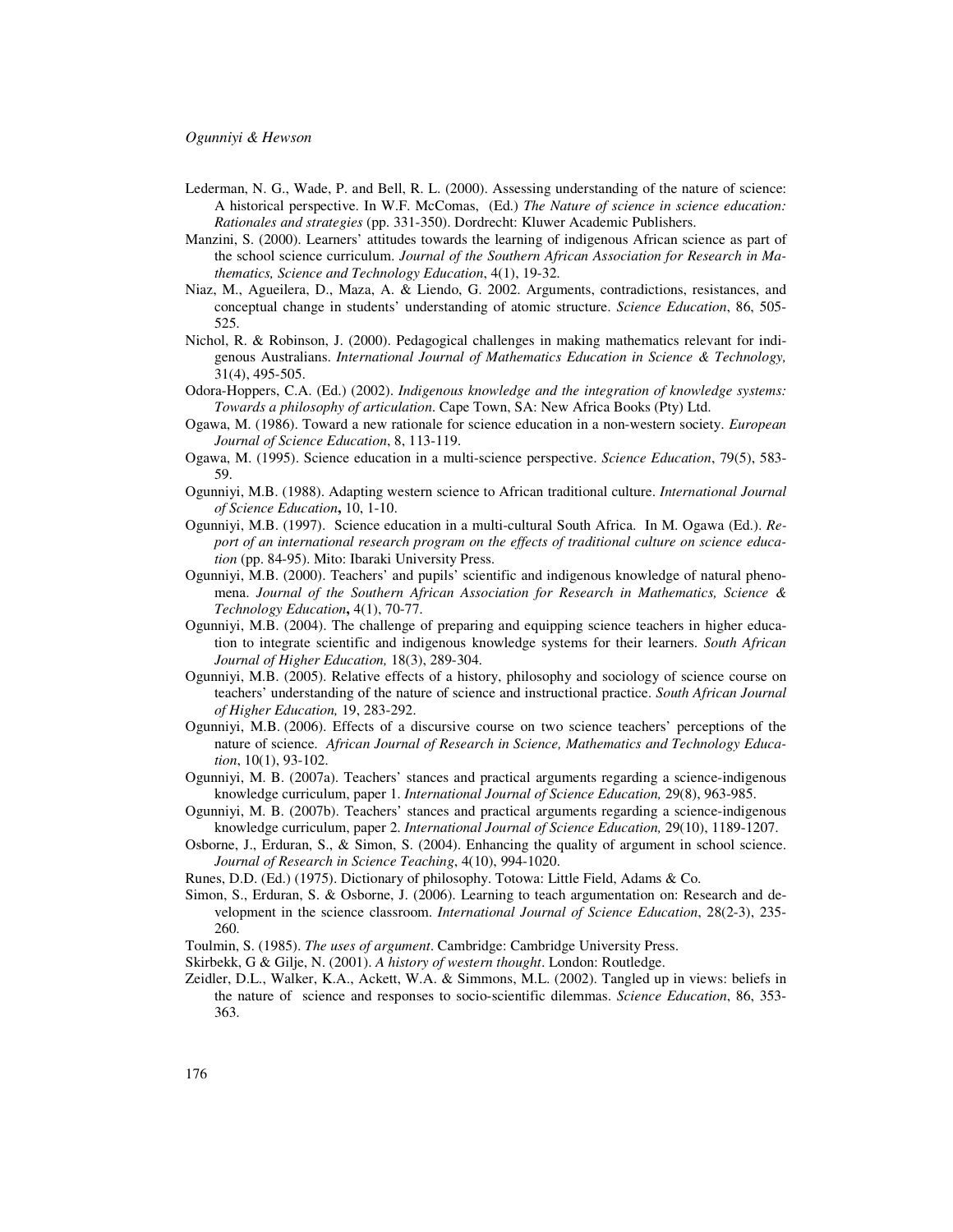- Lederman, N. G., Wade, P. and Bell, R. L. (2000). Assessing understanding of the nature of science: A historical perspective. In W.F. McComas, (Ed.) *The Nature of science in science education: Rationales and strategies* (pp. 331-350). Dordrecht: Kluwer Academic Publishers.
- Manzini, S. (2000). Learners' attitudes towards the learning of indigenous African science as part of the school science curriculum. *Journal of the Southern African Association for Research in Mathematics, Science and Technology Education*, 4(1), 19-32.
- Niaz, M., Agueilera, D., Maza, A. & Liendo, G. 2002. Arguments, contradictions, resistances, and conceptual change in students' understanding of atomic structure. *Science Education*, 86, 505- 525.
- Nichol, R. & Robinson, J. (2000). Pedagogical challenges in making mathematics relevant for indigenous Australians. *International Journal of Mathematics Education in Science & Technology,*  31(4), 495-505.
- Odora-Hoppers, C.A. (Ed.) (2002). *Indigenous knowledge and the integration of knowledge systems: Towards a philosophy of articulation*. Cape Town, SA: New Africa Books (Pty) Ltd.
- Ogawa, M. (1986). Toward a new rationale for science education in a non-western society. *European Journal of Science Education*, 8, 113-119.
- Ogawa, M. (1995). Science education in a multi-science perspective. *Science Education*, 79(5), 583- 59.
- Ogunniyi, M.B. (1988). Adapting western science to African traditional culture. *International Journal of Science Education***,** 10, 1-10.
- Ogunniyi, M.B. (1997). Science education in a multi-cultural South Africa. In M. Ogawa (Ed.). *Report of an international research program on the effects of traditional culture on science education* (pp. 84-95). Mito: Ibaraki University Press.
- Ogunniyi, M.B. (2000). Teachers' and pupils' scientific and indigenous knowledge of natural phenomena. *Journal of the Southern African Association for Research in Mathematics, Science & Technology Education***,** 4(1), 70-77.
- Ogunniyi, M.B. (2004). The challenge of preparing and equipping science teachers in higher education to integrate scientific and indigenous knowledge systems for their learners. *South African Journal of Higher Education,* 18(3), 289-304.
- Ogunniyi, M.B. (2005). Relative effects of a history, philosophy and sociology of science course on teachers' understanding of the nature of science and instructional practice. *South African Journal of Higher Education,* 19, 283-292.
- Ogunniyi, M.B. (2006). Effects of a discursive course on two science teachers' perceptions of the nature of science. *African Journal of Research in Science, Mathematics and Technology Education*, 10(1), 93-102.
- Ogunniyi, M. B. (2007a). Teachers' stances and practical arguments regarding a science-indigenous knowledge curriculum, paper 1. *International Journal of Science Education,* 29(8), 963-985.
- Ogunniyi, M. B. (2007b). Teachers' stances and practical arguments regarding a science-indigenous knowledge curriculum, paper 2. *International Journal of Science Education,* 29(10), 1189-1207.
- Osborne, J., Erduran, S., & Simon, S. (2004). Enhancing the quality of argument in school science. *Journal of Research in Science Teaching*, 4(10), 994-1020.
- Runes, D.D. (Ed.) (1975). Dictionary of philosophy. Totowa: Little Field, Adams & Co.
- Simon, S., Erduran, S. & Osborne, J. (2006). Learning to teach argumentation on: Research and development in the science classroom. *International Journal of Science Education*, 28(2-3), 235- 260.
- Toulmin, S. (1985). *The uses of argument*. Cambridge: Cambridge University Press.
- Skirbekk, G & Gilje, N. (2001). *A history of western thought*. London: Routledge.
- Zeidler, D.L., Walker, K.A., Ackett, W.A. & Simmons, M.L. (2002). Tangled up in views: beliefs in the nature of science and responses to socio-scientific dilemmas. *Science Education*, 86, 353- 363.